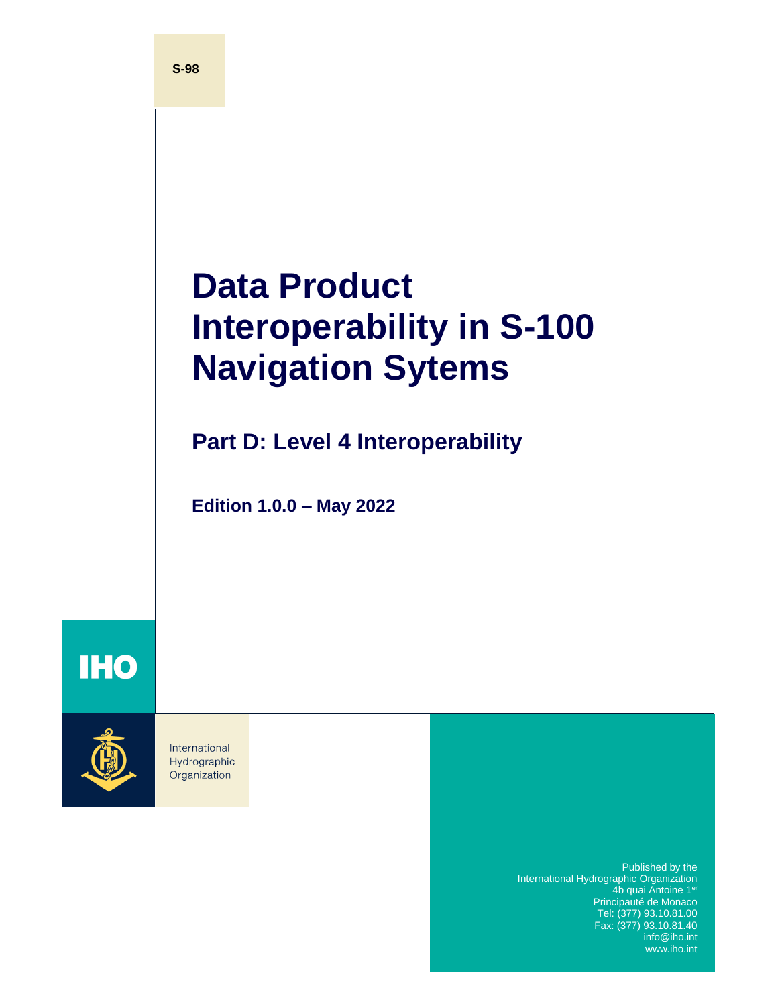

**Part D: Level 4 Interoperability**

**Edition 1.0.0 – May 2022**





International Hydrographic Organization

> Published by the International Hydrographic Organization 4b quai Antoine 1er Principauté de Monaco Tel: (377) 93.10.81.00 Fax: (377) 93.10.81.40 info@iho.int www.iho.int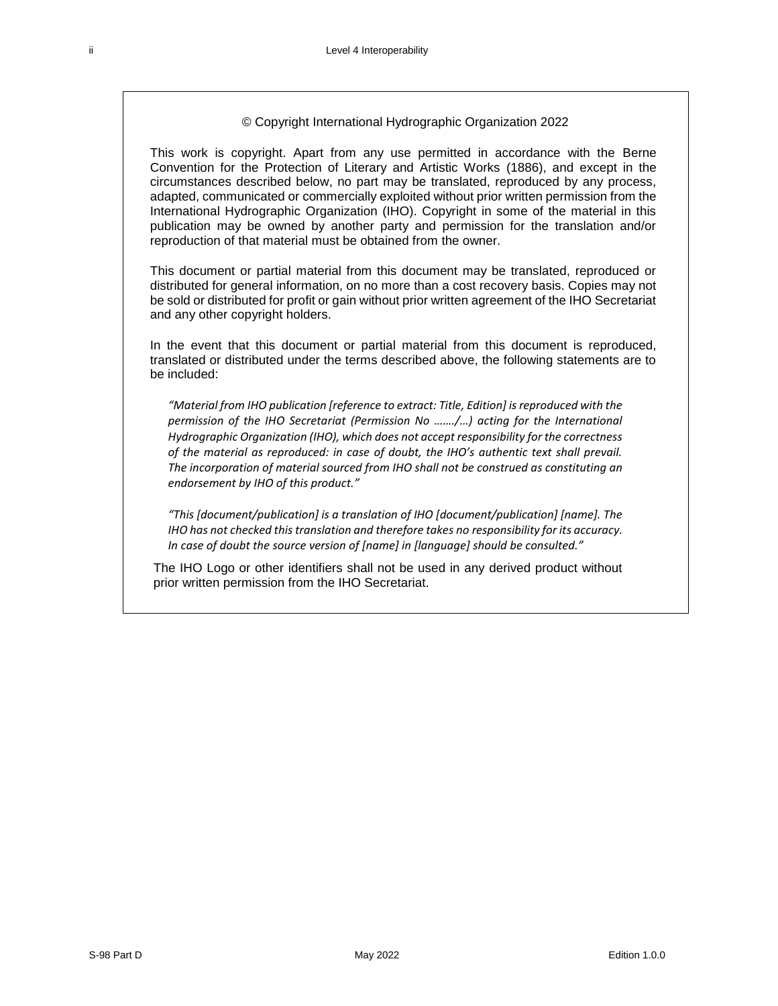#### © Copyright International Hydrographic Organization 2022

This work is copyright. Apart from any use permitted in accordance with the [Berne](http://www.wipo.int/treaties/en/ip/berne/trtdocs_wo001.html)  [Convention for the Protection of Literary and Artistic Works](http://www.wipo.int/treaties/en/ip/berne/trtdocs_wo001.html) (1886), and except in the circumstances described below, no part may be translated, reproduced by any process, adapted, communicated or commercially exploited without prior written permission from the International Hydrographic Organization (IHO). Copyright in some of the material in this publication may be owned by another party and permission for the translation and/or reproduction of that material must be obtained from the owner.

This document or partial material from this document may be translated, reproduced or distributed for general information, on no more than a cost recovery basis. Copies may not be sold or distributed for profit or gain without prior written agreement of the IHO Secretariat and any other copyright holders.

In the event that this document or partial material from this document is reproduced, translated or distributed under the terms described above, the following statements are to be included:

*"Material from IHO publication [reference to extract: Title, Edition] is reproduced with the permission of the IHO Secretariat (Permission No ……./…) acting for the International Hydrographic Organization (IHO), which does not accept responsibility for the correctness of the material as reproduced: in case of doubt, the IHO's authentic text shall prevail. The incorporation of material sourced from IHO shall not be construed as constituting an endorsement by IHO of this product."* 

*"This [document/publication] is a translation of IHO [document/publication] [name]. The IHO has not checked this translation and therefore takes no responsibility for its accuracy. In case of doubt the source version of [name] in [language] should be consulted."*

The IHO Logo or other identifiers shall not be used in any derived product without prior written permission from the IHO Secretariat.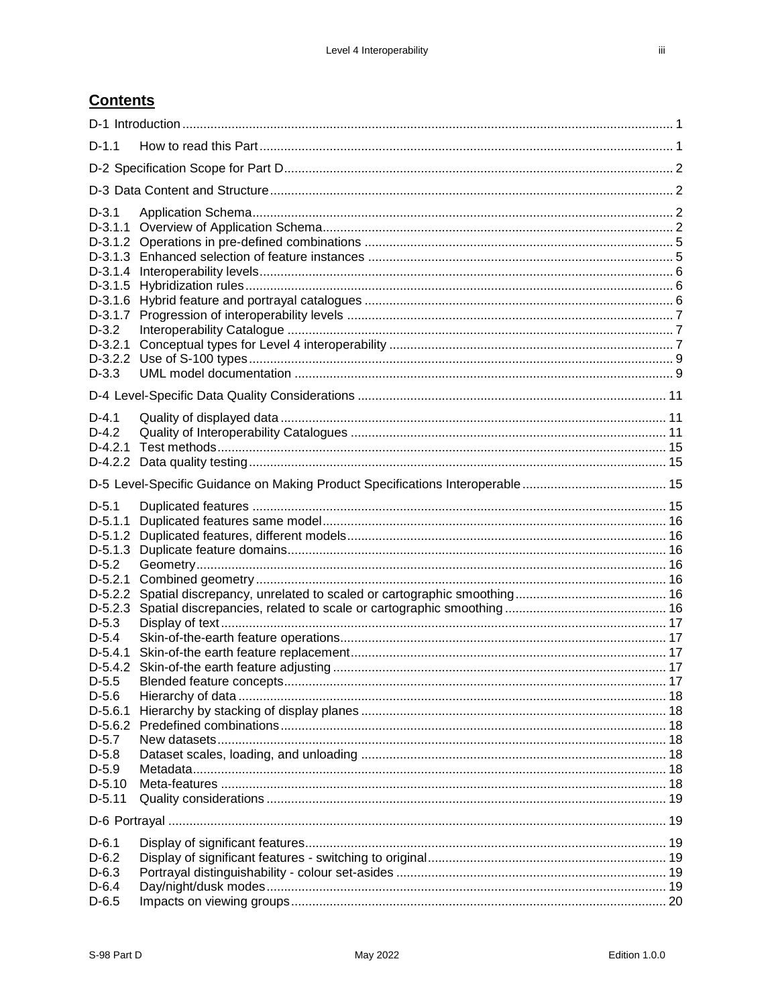# **Contents**

| $D-1.1$                                                                                                                                          |  |  |  |  |  |  |  |
|--------------------------------------------------------------------------------------------------------------------------------------------------|--|--|--|--|--|--|--|
|                                                                                                                                                  |  |  |  |  |  |  |  |
|                                                                                                                                                  |  |  |  |  |  |  |  |
| $D-3.1$<br>$D-3.1.1$<br>D-3.1.2<br>$D-3.1.4$<br>$D-3.1.5$<br>$D-3.1.6$<br>$D-3.1.7$<br>$D-3.2$<br>$D-3.2.1$<br>$D-3.2.2$<br>$D-3.3$              |  |  |  |  |  |  |  |
|                                                                                                                                                  |  |  |  |  |  |  |  |
| $D-4.1$<br>$D-4.2$<br>$D-4.2.1$                                                                                                                  |  |  |  |  |  |  |  |
|                                                                                                                                                  |  |  |  |  |  |  |  |
| $D-5.1$<br>$D-5.1.1$<br>$D-5.1.2$<br>$D-5.1.3$<br>$D-5.2$<br>$D-5.2.1$<br>$D-5.2.2$<br>$D-5.2.3$<br>$D-5.3$<br>$D-5.4$<br>$D-5.4.1$<br>$D-5.4.2$ |  |  |  |  |  |  |  |
| $D-5.5$<br>$D-5.6$<br>$D-5.6.1$<br>$D-5.6.2$<br>$D-5.7$<br>$D-5.8$<br>$D-5.9$<br>$D-5.10$<br>$D-5.11$                                            |  |  |  |  |  |  |  |
|                                                                                                                                                  |  |  |  |  |  |  |  |
| $D-6.1$<br>$D-6.2$<br>$D-6.3$<br>$D-6.4$<br>$D-6.5$                                                                                              |  |  |  |  |  |  |  |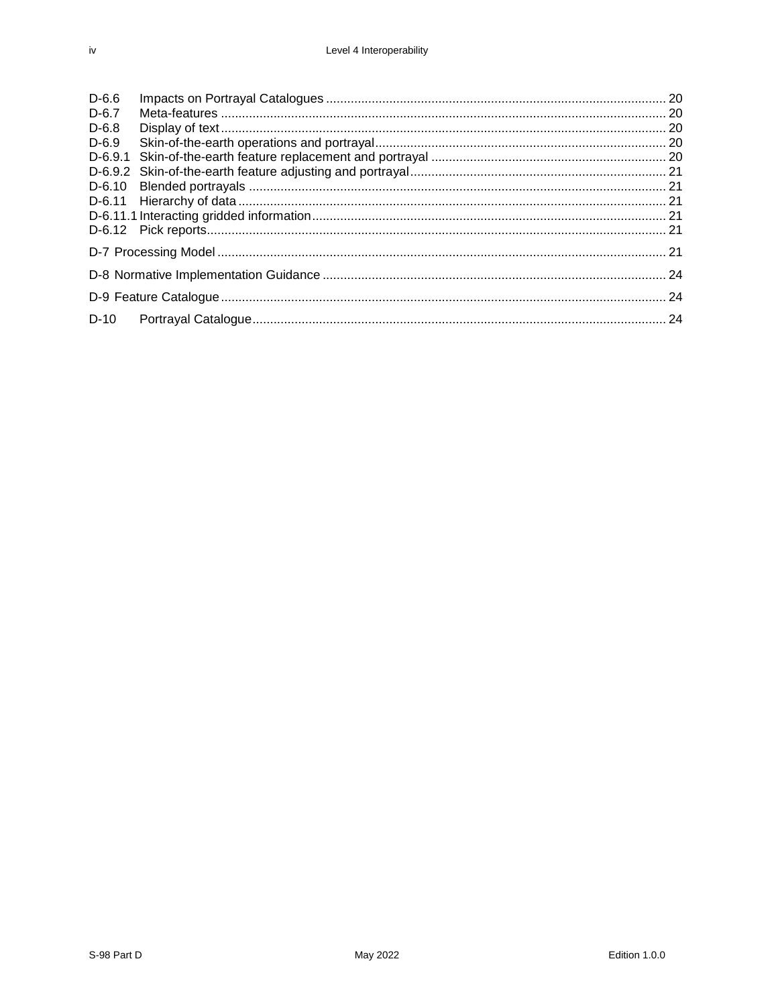| $D-6.6$   |  |
|-----------|--|
| $D-6.7$   |  |
| $D-6.8$   |  |
| $D-6.9$   |  |
| $D-6.9.1$ |  |
|           |  |
|           |  |
|           |  |
|           |  |
|           |  |
|           |  |
|           |  |
|           |  |
| $D-10$    |  |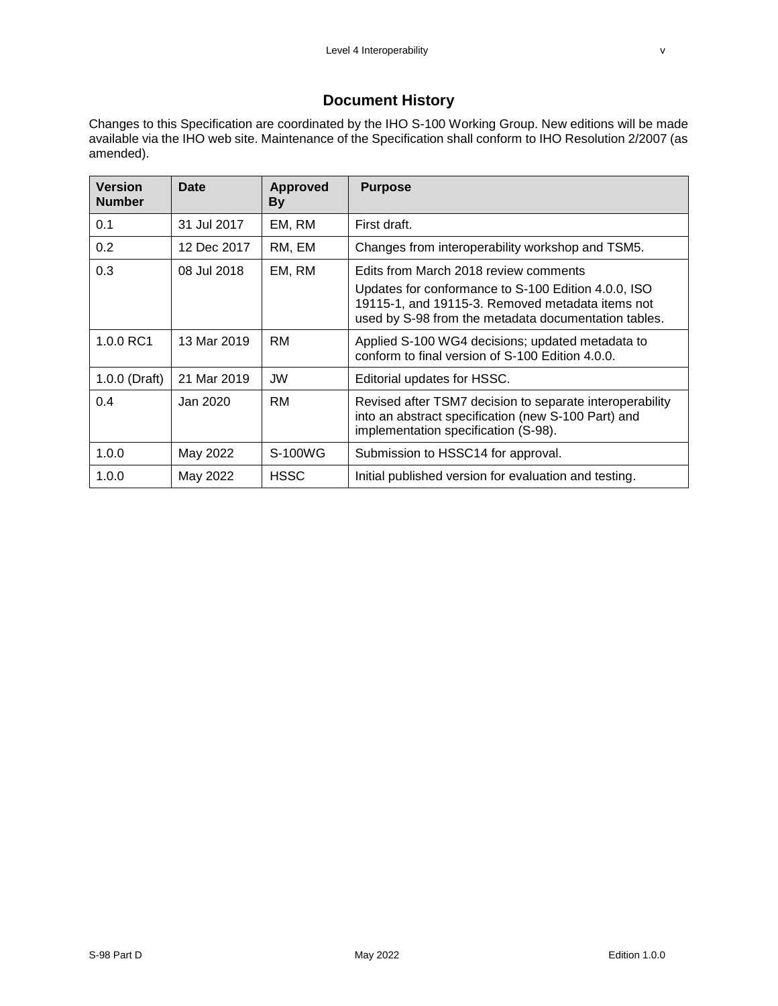# **Document History**

Changes to this Specification are coordinated by the IHO S-100 Working Group. New editions will be made available via the IHO web site. Maintenance of the Specification shall conform to IHO Resolution 2/2007 (as amended).

| <b>Version</b><br><b>Number</b> | Date        | <b>Approved</b><br><b>By</b> | <b>Purpose</b>                                                                                                                                                  |
|---------------------------------|-------------|------------------------------|-----------------------------------------------------------------------------------------------------------------------------------------------------------------|
| 0.1                             | 31 Jul 2017 | EM, RM                       | First draft.                                                                                                                                                    |
| 0.2                             | 12 Dec 2017 | RM, EM                       | Changes from interoperability workshop and TSM5.                                                                                                                |
| 0.3                             | 08 Jul 2018 | EM, RM                       | Edits from March 2018 review comments                                                                                                                           |
|                                 |             |                              | Updates for conformance to S-100 Edition 4.0.0, ISO<br>19115-1, and 19115-3. Removed metadata items not<br>used by S-98 from the metadata documentation tables. |
| 1.0.0 RC1                       | 13 Mar 2019 | <b>RM</b>                    | Applied S-100 WG4 decisions; updated metadata to<br>conform to final version of S-100 Edition 4.0.0.                                                            |
| 1.0.0 (Draft)                   | 21 Mar 2019 | <b>JW</b>                    | Editorial updates for HSSC.                                                                                                                                     |
| 0.4                             | Jan 2020    | RM                           | Revised after TSM7 decision to separate interoperability<br>into an abstract specification (new S-100 Part) and<br>implementation specification (S-98).         |
| 1.0.0                           | May 2022    | S-100WG                      | Submission to HSSC14 for approval.                                                                                                                              |
| 1.0.0                           | May 2022    | <b>HSSC</b>                  | Initial published version for evaluation and testing.                                                                                                           |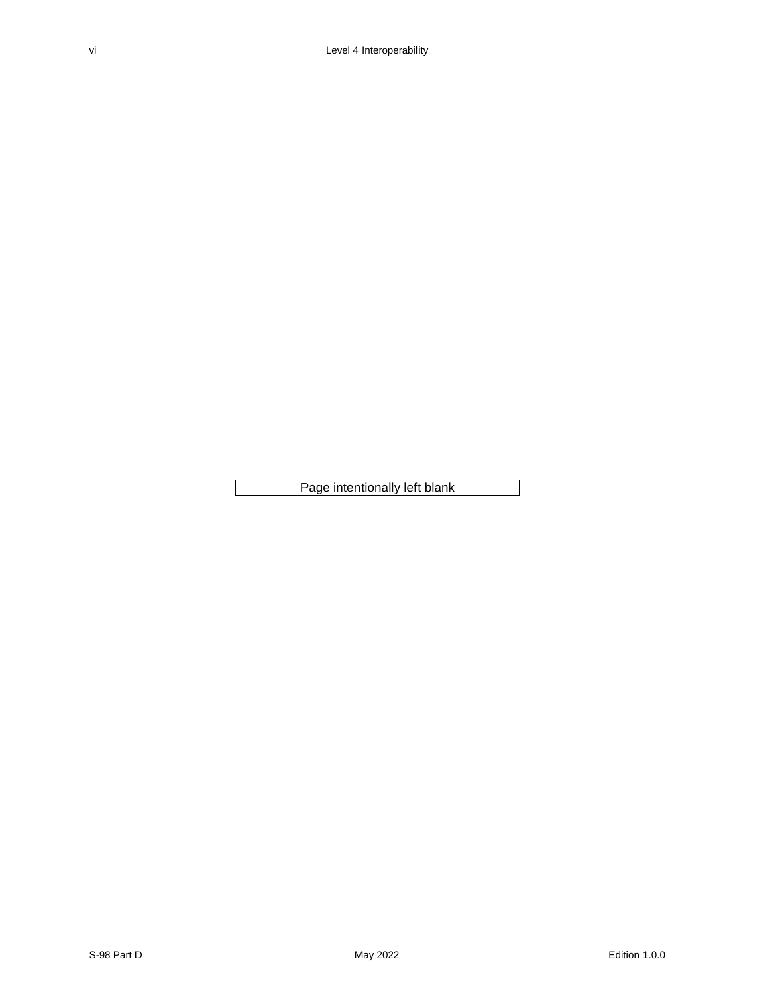Page intentionally left blank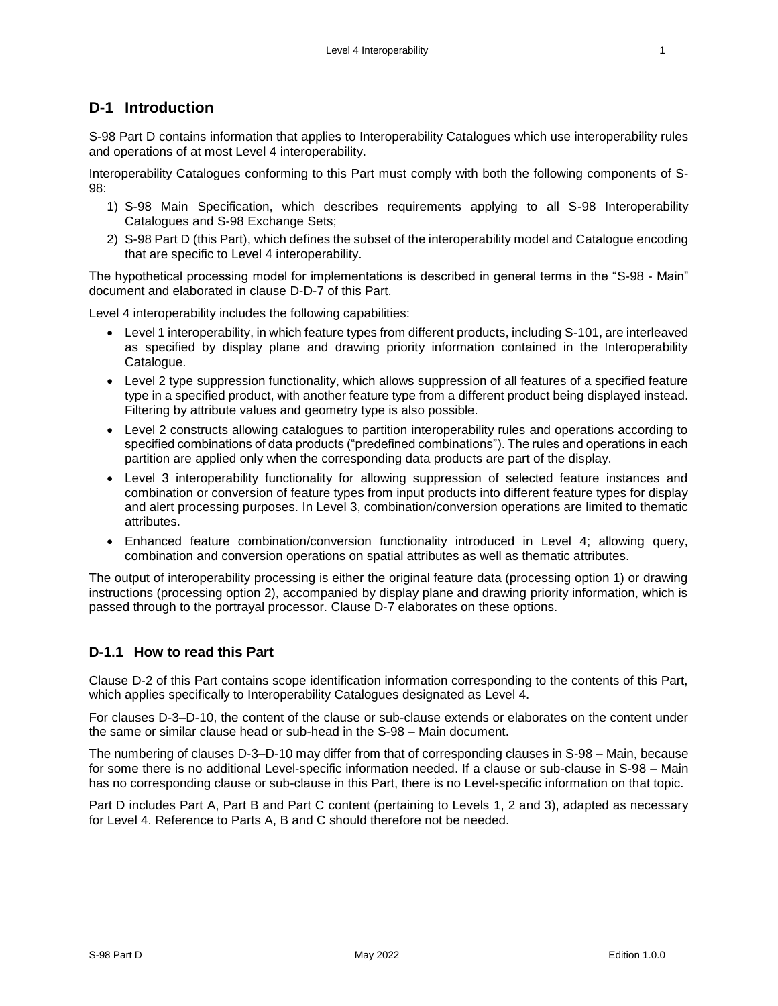# <span id="page-6-0"></span>**D-1 Introduction**

S-98 Part D contains information that applies to Interoperability Catalogues which use interoperability rules and operations of at most Level 4 interoperability.

Interoperability Catalogues conforming to this Part must comply with both the following components of S- $98$ 

- 1) S-98 Main Specification, which describes requirements applying to all S-98 Interoperability Catalogues and S-98 Exchange Sets;
- 2) S-98 Part D (this Part), which defines the subset of the interoperability model and Catalogue encoding that are specific to Level 4 interoperability.

The hypothetical processing model for implementations is described in general terms in the "S-98 - Main" document and elaborated in clause D[-D-7](#page-26-5) of this Part.

Level 4 interoperability includes the following capabilities:

- Level 1 interoperability, in which feature types from different products, including S-101, are interleaved as specified by display plane and drawing priority information contained in the Interoperability Catalogue.
- Level 2 type suppression functionality, which allows suppression of all features of a specified feature type in a specified product, with another feature type from a different product being displayed instead. Filtering by attribute values and geometry type is also possible.
- Level 2 constructs allowing catalogues to partition interoperability rules and operations according to specified combinations of data products ("predefined combinations"). The rules and operations in each partition are applied only when the corresponding data products are part of the display.
- Level 3 interoperability functionality for allowing suppression of selected feature instances and combination or conversion of feature types from input products into different feature types for display and alert processing purposes. In Level 3, combination/conversion operations are limited to thematic attributes.
- Enhanced feature combination/conversion functionality introduced in Level 4; allowing query, combination and conversion operations on spatial attributes as well as thematic attributes.

The output of interoperability processing is either the original feature data (processing option 1) or drawing instructions (processing option 2), accompanied by display plane and drawing priority information, which is passed through to the portrayal processor. Clause D-7 elaborates on these options.

### <span id="page-6-1"></span>**D-1.1 How to read this Part**

Clause D-2 of this Part contains scope identification information corresponding to the contents of this Part, which applies specifically to Interoperability Catalogues designated as Level 4.

For clauses D-3–D-10, the content of the clause or sub-clause extends or elaborates on the content under the same or similar clause head or sub-head in the S-98 – Main document.

The numbering of clauses D-3–D-10 may differ from that of corresponding clauses in S-98 – Main, because for some there is no additional Level-specific information needed. If a clause or sub-clause in S-98 – Main has no corresponding clause or sub-clause in this Part, there is no Level-specific information on that topic.

Part D includes Part A, Part B and Part C content (pertaining to Levels 1, 2 and 3), adapted as necessary for Level 4. Reference to Parts A, B and C should therefore not be needed.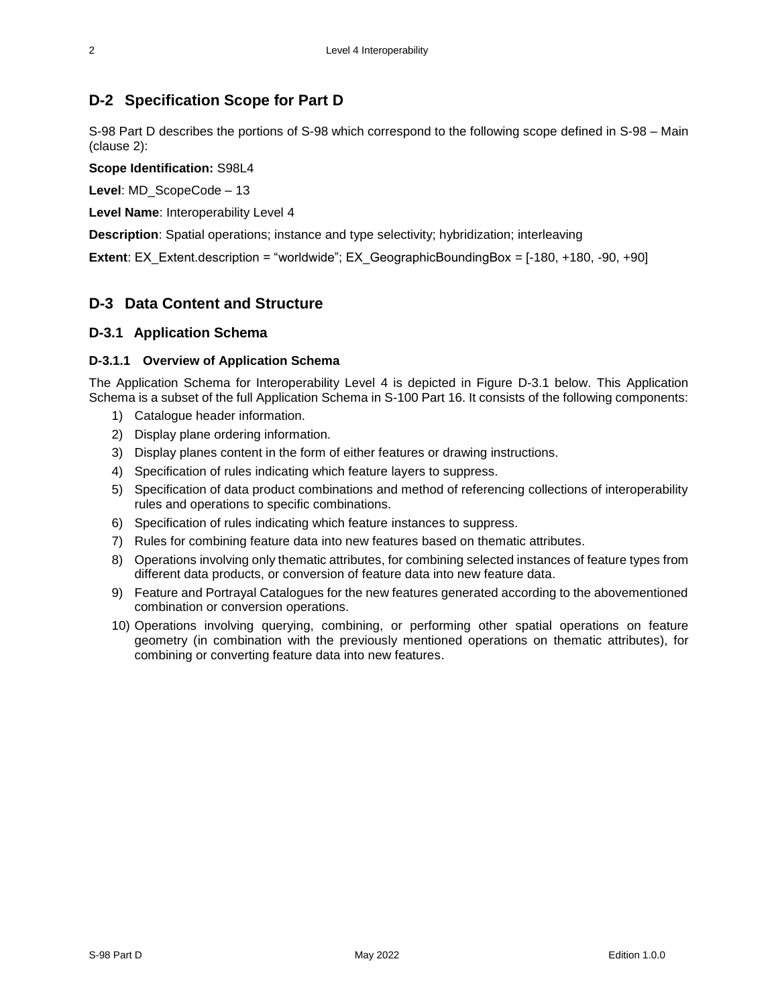# <span id="page-7-0"></span>**D-2 Specification Scope for Part D**

S-98 Part D describes the portions of S-98 which correspond to the following scope defined in S-98 – Main (clause 2):

**Scope Identification:** S98L4

**Level**: MD\_ScopeCode – 13

**Level Name**: Interoperability Level 4

**Description**: Spatial operations; instance and type selectivity; hybridization; interleaving

**Extent**: EX\_Extent.description = "worldwide"; EX\_GeographicBoundingBox = [-180, +180, -90, +90]

### <span id="page-7-1"></span>**D-3 Data Content and Structure**

### <span id="page-7-2"></span>**D-3.1 Application Schema**

#### <span id="page-7-3"></span>**D-3.1.1 Overview of Application Schema**

The Application Schema for Interoperability Level 4 is depicted in Figure D-3.1 below. This Application Schema is a subset of the full Application Schema in S-100 Part 16. It consists of the following components:

- 1) Catalogue header information.
- 2) Display plane ordering information.
- 3) Display planes content in the form of either features or drawing instructions.
- 4) Specification of rules indicating which feature layers to suppress.
- 5) Specification of data product combinations and method of referencing collections of interoperability rules and operations to specific combinations.
- 6) Specification of rules indicating which feature instances to suppress.
- 7) Rules for combining feature data into new features based on thematic attributes.
- 8) Operations involving only thematic attributes, for combining selected instances of feature types from different data products, or conversion of feature data into new feature data.
- 9) Feature and Portrayal Catalogues for the new features generated according to the abovementioned combination or conversion operations.
- 10) Operations involving querying, combining, or performing other spatial operations on feature geometry (in combination with the previously mentioned operations on thematic attributes), for combining or converting feature data into new features.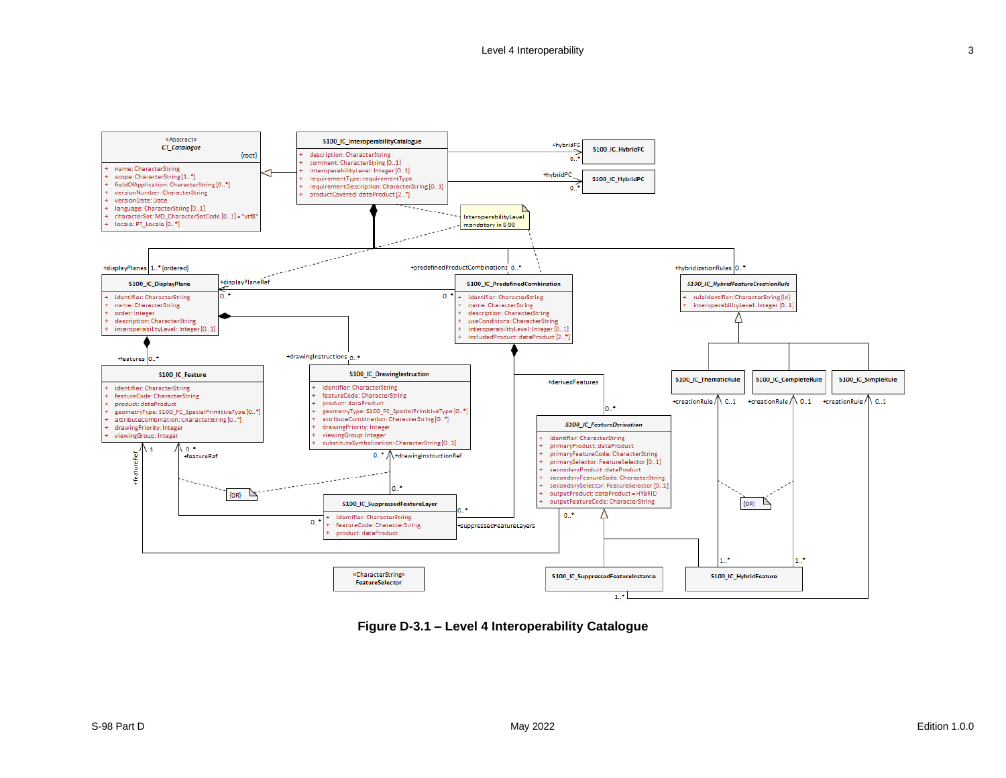

**Figure D-3.1 – Level 4 Interoperability Catalogue**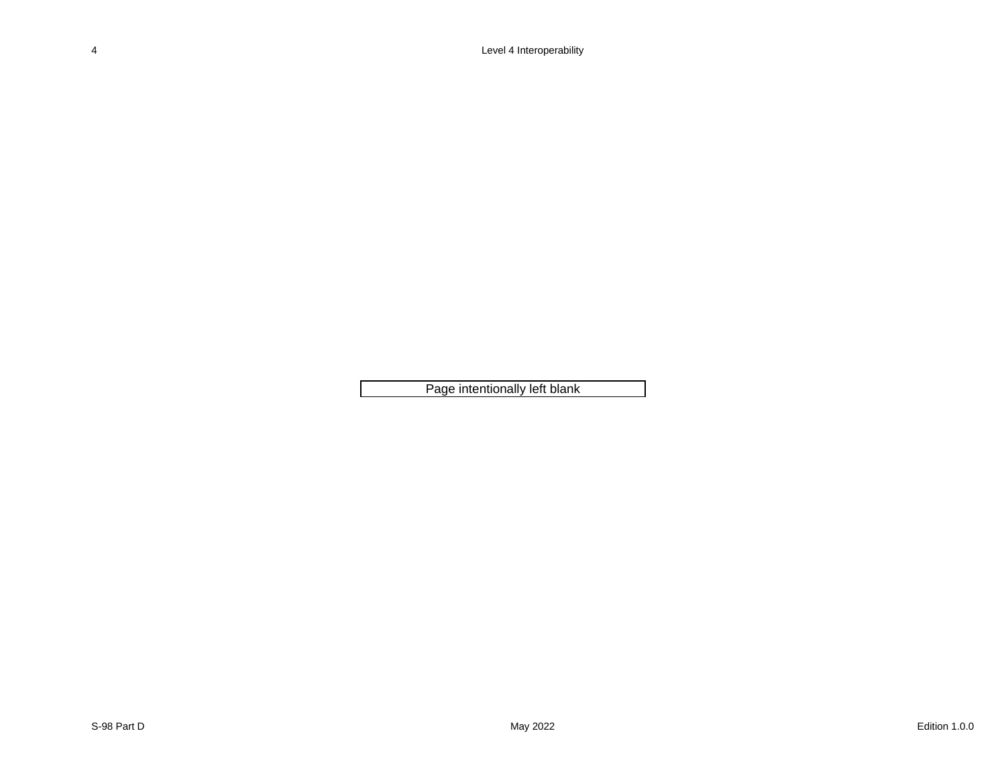4 Level 4 Interoperability

Page intentionally left blank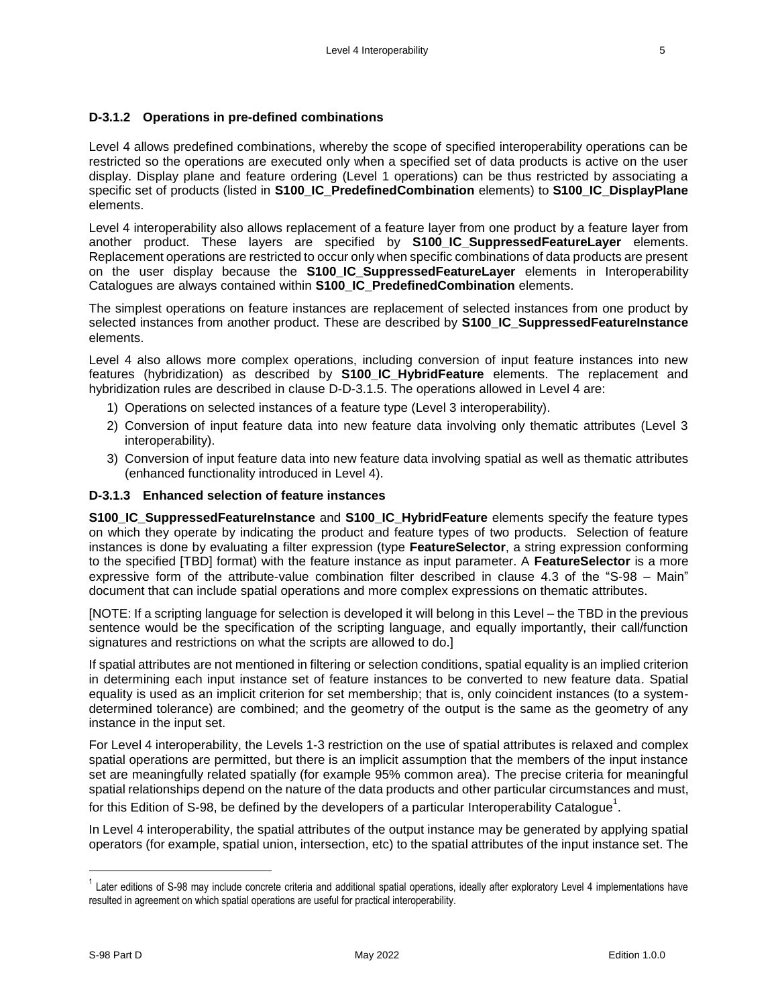### <span id="page-10-0"></span>**D-3.1.2 Operations in pre-defined combinations**

Level 4 allows predefined combinations, whereby the scope of specified interoperability operations can be restricted so the operations are executed only when a specified set of data products is active on the user display. Display plane and feature ordering (Level 1 operations) can be thus restricted by associating a specific set of products (listed in **S100\_IC\_PredefinedCombination** elements) to **S100\_IC\_DisplayPlane** elements.

Level 4 interoperability also allows replacement of a feature layer from one product by a feature layer from another product. These layers are specified by **S100\_IC\_SuppressedFeatureLayer** elements. Replacement operations are restricted to occur only when specific combinations of data products are present on the user display because the **S100\_IC\_SuppressedFeatureLayer** elements in Interoperability Catalogues are always contained within **S100\_IC\_PredefinedCombination** elements.

The simplest operations on feature instances are replacement of selected instances from one product by selected instances from another product. These are described by **S100\_IC\_SuppressedFeatureInstance** elements.

Level 4 also allows more complex operations, including conversion of input feature instances into new features (hybridization) as described by **S100\_IC\_HybridFeature** elements. The replacement and hybridization rules are described in clause D[-D-3.1.5.](#page-11-1) The operations allowed in Level 4 are:

- 1) Operations on selected instances of a feature type (Level 3 interoperability).
- 2) Conversion of input feature data into new feature data involving only thematic attributes (Level 3 interoperability).
- 3) Conversion of input feature data into new feature data involving spatial as well as thematic attributes (enhanced functionality introduced in Level 4).

#### <span id="page-10-1"></span>**D-3.1.3 Enhanced selection of feature instances**

**S100\_IC\_SuppressedFeatureInstance** and **S100\_IC\_HybridFeature** elements specify the feature types on which they operate by indicating the product and feature types of two products. Selection of feature instances is done by evaluating a filter expression (type **FeatureSelector**, a string expression conforming to the specified [TBD] format) with the feature instance as input parameter. A **FeatureSelector** is a more expressive form of the attribute-value combination filter described in clause 4.3 of the "S-98 – Main" document that can include spatial operations and more complex expressions on thematic attributes.

[NOTE: If a scripting language for selection is developed it will belong in this Level – the TBD in the previous sentence would be the specification of the scripting language, and equally importantly, their call/function signatures and restrictions on what the scripts are allowed to do.]

If spatial attributes are not mentioned in filtering or selection conditions, spatial equality is an implied criterion in determining each input instance set of feature instances to be converted to new feature data. Spatial equality is used as an implicit criterion for set membership; that is, only coincident instances (to a systemdetermined tolerance) are combined; and the geometry of the output is the same as the geometry of any instance in the input set.

For Level 4 interoperability, the Levels 1-3 restriction on the use of spatial attributes is relaxed and complex spatial operations are permitted, but there is an implicit assumption that the members of the input instance set are meaningfully related spatially (for example 95% common area). The precise criteria for meaningful spatial relationships depend on the nature of the data products and other particular circumstances and must, for this Edition of S-98, be defined by the developers of a particular Interoperability Catalogue $^1$ .

In Level 4 interoperability, the spatial attributes of the output instance may be generated by applying spatial operators (for example, spatial union, intersection, etc) to the spatial attributes of the input instance set. The

 $\overline{a}$ 

 $1$  Later editions of S-98 may include concrete criteria and additional spatial operations, ideally after exploratory Level 4 implementations have resulted in agreement on which spatial operations are useful for practical interoperability.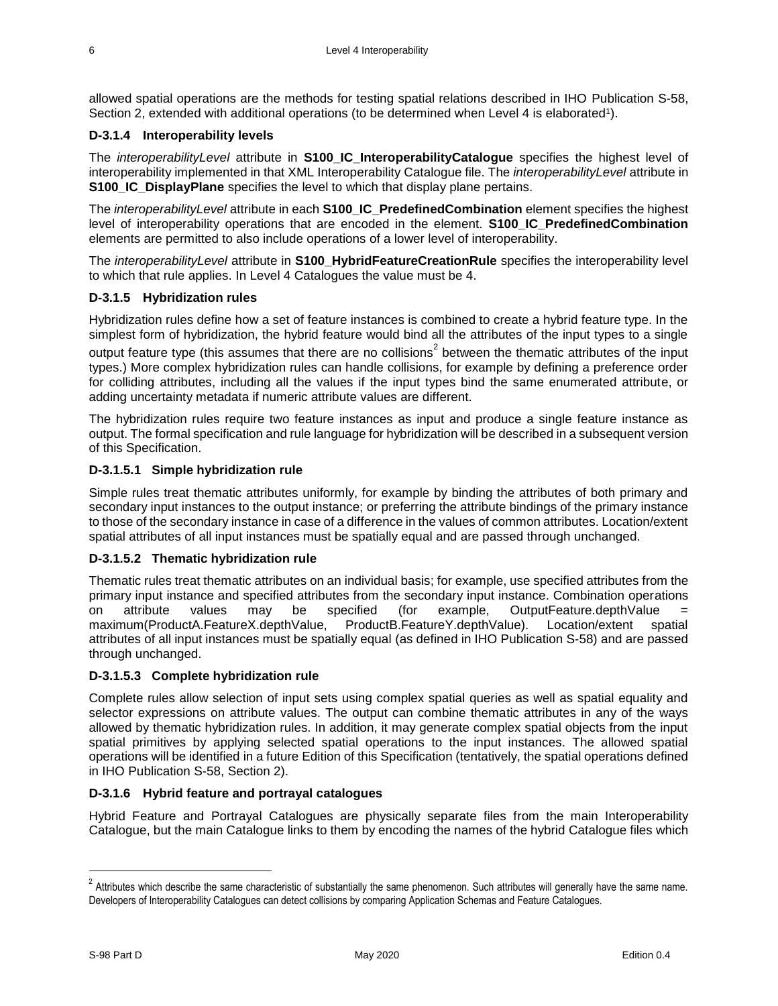allowed spatial operations are the methods for testing spatial relations described in IHO Publication S-58, Section 2, extended with additional operations (to be determined when Level 4 is elaborated<sup>1</sup>).

### <span id="page-11-0"></span>**D-3.1.4 Interoperability levels**

The *interoperabilityLevel* attribute in **S100\_IC\_InteroperabilityCatalogue** specifies the highest level of interoperability implemented in that XML Interoperability Catalogue file. The *interoperabilityLevel* attribute in **S100\_IC\_DisplayPlane** specifies the level to which that display plane pertains.

The *interoperabilityLevel* attribute in each **S100\_IC\_PredefinedCombination** element specifies the highest level of interoperability operations that are encoded in the element. **S100\_IC\_PredefinedCombination** elements are permitted to also include operations of a lower level of interoperability.

The *interoperabilityLevel* attribute in **S100\_HybridFeatureCreationRule** specifies the interoperability level to which that rule applies. In Level 4 Catalogues the value must be 4.

### <span id="page-11-1"></span>**D-3.1.5 Hybridization rules**

Hybridization rules define how a set of feature instances is combined to create a hybrid feature type. In the simplest form of hybridization, the hybrid feature would bind all the attributes of the input types to a single output feature type (this assumes that there are no collisions<sup>2</sup> between the thematic attributes of the input types.) More complex hybridization rules can handle collisions, for example by defining a preference order for colliding attributes, including all the values if the input types bind the same enumerated attribute, or adding uncertainty metadata if numeric attribute values are different.

The hybridization rules require two feature instances as input and produce a single feature instance as output. The formal specification and rule language for hybridization will be described in a subsequent version of this Specification.

#### **D-3.1.5.1 Simple hybridization rule**

Simple rules treat thematic attributes uniformly, for example by binding the attributes of both primary and secondary input instances to the output instance; or preferring the attribute bindings of the primary instance to those of the secondary instance in case of a difference in the values of common attributes. Location/extent spatial attributes of all input instances must be spatially equal and are passed through unchanged.

#### **D-3.1.5.2 Thematic hybridization rule**

Thematic rules treat thematic attributes on an individual basis; for example, use specified attributes from the primary input instance and specified attributes from the secondary input instance. Combination operations on attribute values may be specified (for example. OutputFeature.depthValue maximum(ProductA.FeatureX.depthValue, ProductB.FeatureY.depthValue). Location/extent spatial attributes of all input instances must be spatially equal (as defined in IHO Publication S-58) and are passed through unchanged.

#### **D-3.1.5.3 Complete hybridization rule**

Complete rules allow selection of input sets using complex spatial queries as well as spatial equality and selector expressions on attribute values. The output can combine thematic attributes in any of the ways allowed by thematic hybridization rules. In addition, it may generate complex spatial objects from the input spatial primitives by applying selected spatial operations to the input instances. The allowed spatial operations will be identified in a future Edition of this Specification (tentatively, the spatial operations defined in IHO Publication S-58, Section 2).

#### <span id="page-11-2"></span>**D-3.1.6 Hybrid feature and portrayal catalogues**

Hybrid Feature and Portrayal Catalogues are physically separate files from the main Interoperability Catalogue, but the main Catalogue links to them by encoding the names of the hybrid Catalogue files which

 $\overline{a}$ 

 $^2$  Attributes which describe the same characteristic of substantially the same phenomenon. Such attributes will generally have the same name. Developers of Interoperability Catalogues can detect collisions by comparing Application Schemas and Feature Catalogues.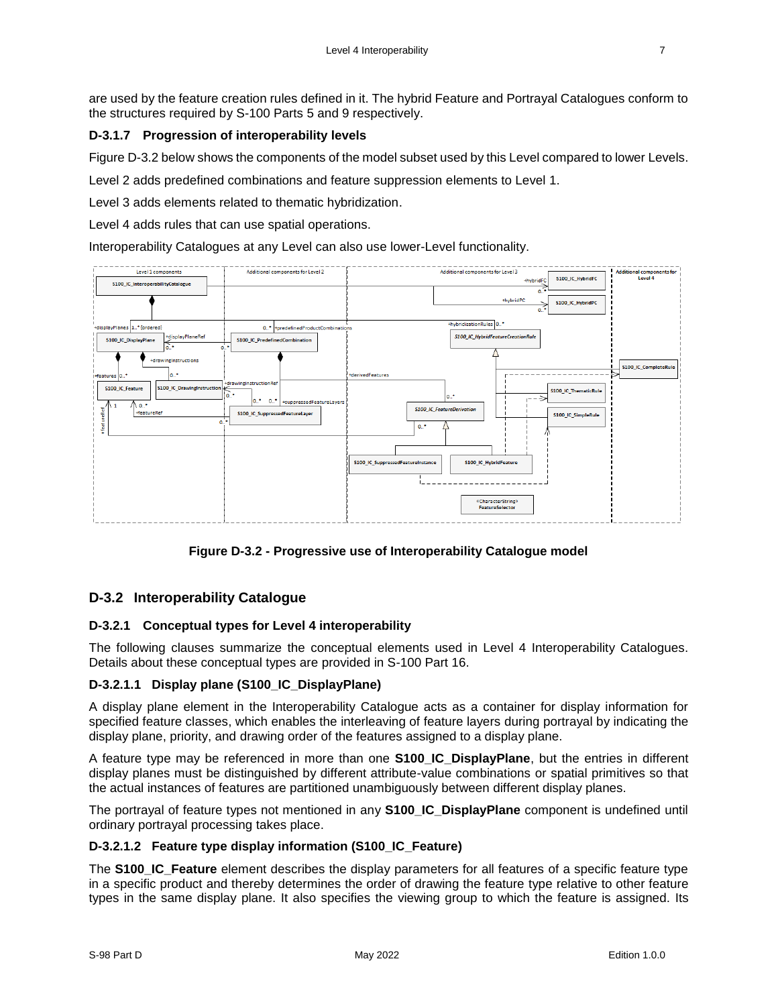are used by the feature creation rules defined in it. The hybrid Feature and Portrayal Catalogues conform to the structures required by S-100 Parts 5 and 9 respectively.

### <span id="page-12-0"></span>**D-3.1.7 Progression of interoperability levels**

Figure D-3.2 below shows the components of the model subset used by this Level compared to lower Levels.

Level 2 adds predefined combinations and feature suppression elements to Level 1.

Level 3 adds elements related to thematic hybridization.

Level 4 adds rules that can use spatial operations.

Interoperability Catalogues at any Level can also use lower-Level functionality.



**Figure D-3.2 - Progressive use of Interoperability Catalogue model**

### <span id="page-12-1"></span>**D-3.2 Interoperability Catalogue**

### <span id="page-12-2"></span>**D-3.2.1 Conceptual types for Level 4 interoperability**

The following clauses summarize the conceptual elements used in Level 4 Interoperability Catalogues. Details about these conceptual types are provided in S-100 Part 16.

### **D-3.2.1.1 Display plane (S100\_IC\_DisplayPlane)**

A display plane element in the Interoperability Catalogue acts as a container for display information for specified feature classes, which enables the interleaving of feature layers during portrayal by indicating the display plane, priority, and drawing order of the features assigned to a display plane.

A feature type may be referenced in more than one **S100\_IC\_DisplayPlane**, but the entries in different display planes must be distinguished by different attribute-value combinations or spatial primitives so that the actual instances of features are partitioned unambiguously between different display planes.

The portrayal of feature types not mentioned in any **S100\_IC\_DisplayPlane** component is undefined until ordinary portrayal processing takes place.

### **D-3.2.1.2 Feature type display information (S100\_IC\_Feature)**

The **S100\_IC\_Feature** element describes the display parameters for all features of a specific feature type in a specific product and thereby determines the order of drawing the feature type relative to other feature types in the same display plane. It also specifies the viewing group to which the feature is assigned. Its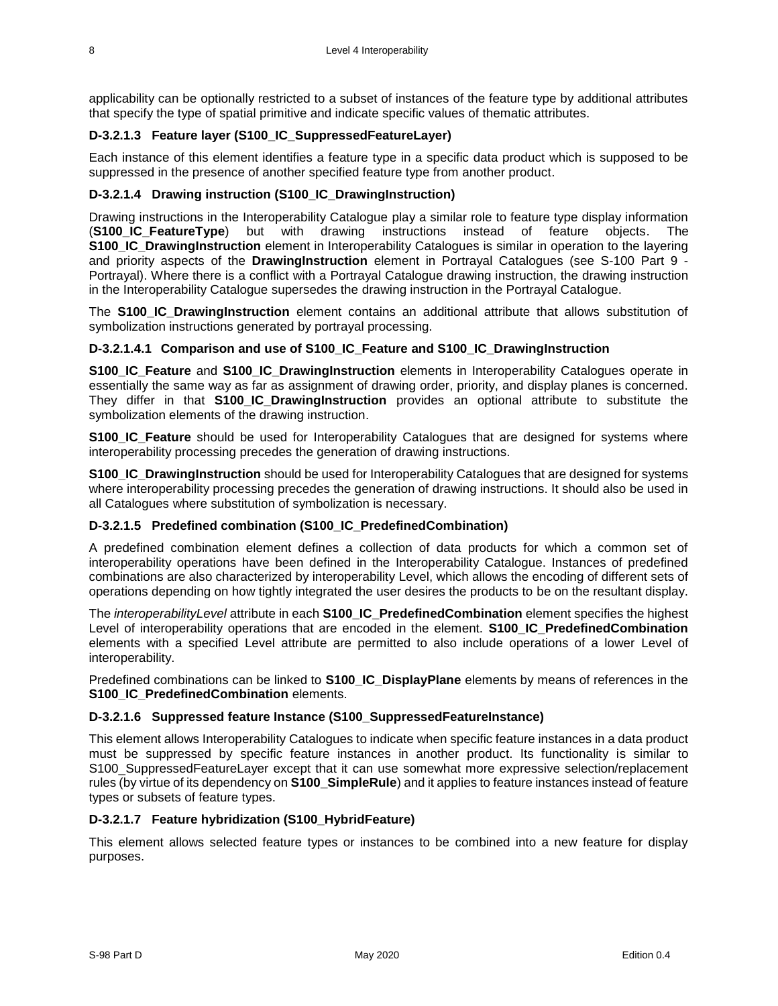applicability can be optionally restricted to a subset of instances of the feature type by additional attributes that specify the type of spatial primitive and indicate specific values of thematic attributes.

### **D-3.2.1.3 Feature layer (S100\_IC\_SuppressedFeatureLayer)**

Each instance of this element identifies a feature type in a specific data product which is supposed to be suppressed in the presence of another specified feature type from another product.

### **D-3.2.1.4 Drawing instruction (S100\_IC\_DrawingInstruction)**

Drawing instructions in the Interoperability Catalogue play a similar role to feature type display information (**S100\_IC\_FeatureType**) but with drawing instructions instead of feature objects. The **S100 IC DrawingInstruction** element in Interoperability Catalogues is similar in operation to the layering and priority aspects of the **DrawingInstruction** element in Portrayal Catalogues (see S-100 Part 9 - Portrayal). Where there is a conflict with a Portrayal Catalogue drawing instruction, the drawing instruction in the Interoperability Catalogue supersedes the drawing instruction in the Portrayal Catalogue.

The **S100\_IC\_DrawingInstruction** element contains an additional attribute that allows substitution of symbolization instructions generated by portrayal processing.

### **D-3.2.1.4.1 Comparison and use of S100\_IC\_Feature and S100\_IC\_DrawingInstruction**

**S100 IC Feature** and **S100 IC DrawingInstruction** elements in Interoperability Catalogues operate in essentially the same way as far as assignment of drawing order, priority, and display planes is concerned. They differ in that **S100\_IC\_DrawingInstruction** provides an optional attribute to substitute the symbolization elements of the drawing instruction.

**S100\_IC\_Feature** should be used for Interoperability Catalogues that are designed for systems where interoperability processing precedes the generation of drawing instructions.

**S100\_IC\_DrawingInstruction** should be used for Interoperability Catalogues that are designed for systems where interoperability processing precedes the generation of drawing instructions. It should also be used in all Catalogues where substitution of symbolization is necessary.

### **D-3.2.1.5 Predefined combination (S100\_IC\_PredefinedCombination)**

A predefined combination element defines a collection of data products for which a common set of interoperability operations have been defined in the Interoperability Catalogue. Instances of predefined combinations are also characterized by interoperability Level, which allows the encoding of different sets of operations depending on how tightly integrated the user desires the products to be on the resultant display.

The *interoperabilityLevel* attribute in each **S100\_IC\_PredefinedCombination** element specifies the highest Level of interoperability operations that are encoded in the element. **S100\_IC\_PredefinedCombination** elements with a specified Level attribute are permitted to also include operations of a lower Level of interoperability.

Predefined combinations can be linked to **S100 IC DisplayPlane** elements by means of references in the **S100 IC PredefinedCombination** elements.

#### **D-3.2.1.6 Suppressed feature Instance (S100\_SuppressedFeatureInstance)**

This element allows Interoperability Catalogues to indicate when specific feature instances in a data product must be suppressed by specific feature instances in another product. Its functionality is similar to S100 SuppressedFeatureLayer except that it can use somewhat more expressive selection/replacement rules (by virtue of its dependency on **S100\_SimpleRule**) and it applies to feature instances instead of feature types or subsets of feature types.

### **D-3.2.1.7 Feature hybridization (S100\_HybridFeature)**

This element allows selected feature types or instances to be combined into a new feature for display purposes.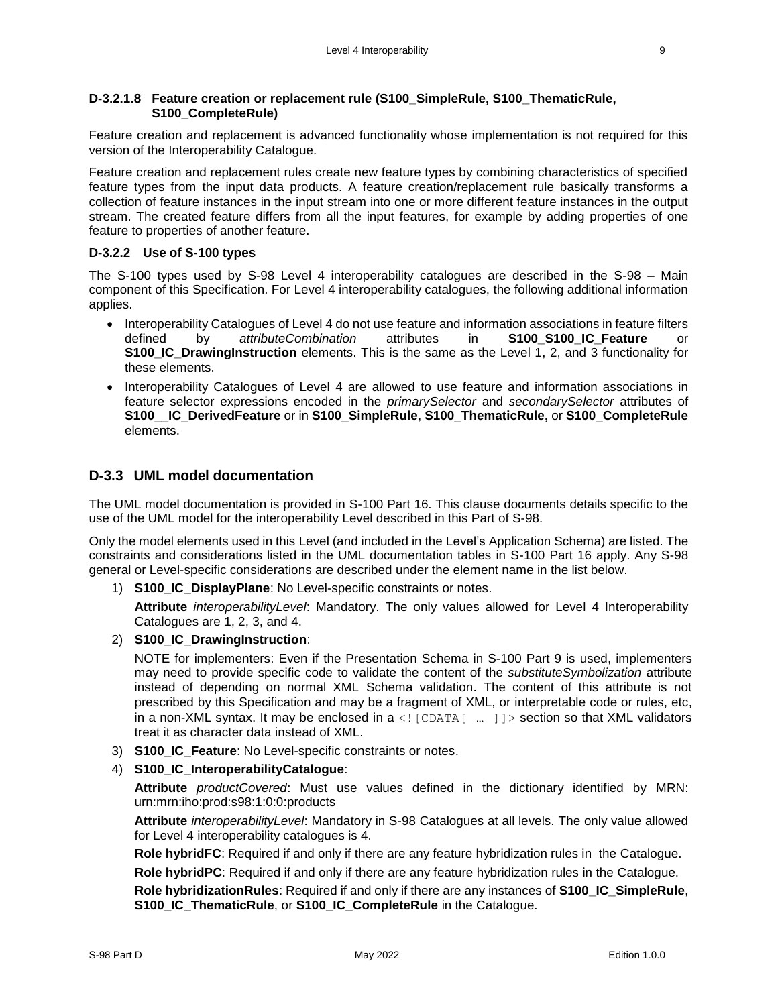### **D-3.2.1.8 Feature creation or replacement rule (S100\_SimpleRule, S100\_ThematicRule, S100\_CompleteRule)**

Feature creation and replacement is advanced functionality whose implementation is not required for this version of the Interoperability Catalogue.

Feature creation and replacement rules create new feature types by combining characteristics of specified feature types from the input data products. A feature creation/replacement rule basically transforms a collection of feature instances in the input stream into one or more different feature instances in the output stream. The created feature differs from all the input features, for example by adding properties of one feature to properties of another feature.

### <span id="page-14-0"></span>**D-3.2.2 Use of S-100 types**

The S-100 types used by S-98 Level 4 interoperability catalogues are described in the S-98 – Main component of this Specification. For Level 4 interoperability catalogues, the following additional information applies.

- Interoperability Catalogues of Level 4 do not use feature and information associations in feature filters defined by *attributeCombination* attributes in **S100\_S100\_IC\_Feature** or **S100 IC DrawingInstruction** elements. This is the same as the Level 1, 2, and 3 functionality for these elements.
- Interoperability Catalogues of Level 4 are allowed to use feature and information associations in feature selector expressions encoded in the *primarySelector* and *secondarySelector* attributes of **S100\_\_IC\_DerivedFeature** or in **S100\_SimpleRule**, **S100\_ThematicRule,** or **S100\_CompleteRule** elements.

### <span id="page-14-1"></span>**D-3.3 UML model documentation**

The UML model documentation is provided in S-100 Part 16. This clause documents details specific to the use of the UML model for the interoperability Level described in this Part of S-98.

Only the model elements used in this Level (and included in the Level's Application Schema) are listed. The constraints and considerations listed in the UML documentation tables in S-100 Part 16 apply. Any S-98 general or Level-specific considerations are described under the element name in the list below.

1) **S100\_IC\_DisplayPlane**: No Level-specific constraints or notes.

**Attribute** *interoperabilityLevel*: Mandatory. The only values allowed for Level 4 Interoperability Catalogues are 1, 2, 3, and 4.

2) **S100\_IC\_DrawingInstruction**:

NOTE for implementers: Even if the Presentation Schema in S-100 Part 9 is used, implementers may need to provide specific code to validate the content of the *substituteSymbolization* attribute instead of depending on normal XML Schema validation. The content of this attribute is not prescribed by this Specification and may be a fragment of XML, or interpretable code or rules, etc, in a non-XML syntax. It may be enclosed in  $a < |$  [CDATA [ ... ] ] > section so that XML validators treat it as character data instead of XML.

3) **S100\_IC\_Feature**: No Level-specific constraints or notes.

### 4) **S100\_IC\_InteroperabilityCatalogue**:

**Attribute** *productCovered*: Must use values defined in the dictionary identified by MRN: urn:mrn:iho:prod:s98:1:0:0:products

**Attribute** *interoperabilityLevel*: Mandatory in S-98 Catalogues at all levels. The only value allowed for Level 4 interoperability catalogues is 4.

**Role hybridFC**: Required if and only if there are any feature hybridization rules in the Catalogue.

**Role hybridPC**: Required if and only if there are any feature hybridization rules in the Catalogue.

**Role hybridizationRules**: Required if and only if there are any instances of **S100\_IC\_SimpleRule**, **S100\_IC\_ThematicRule**, or **S100\_IC\_CompleteRule** in the Catalogue.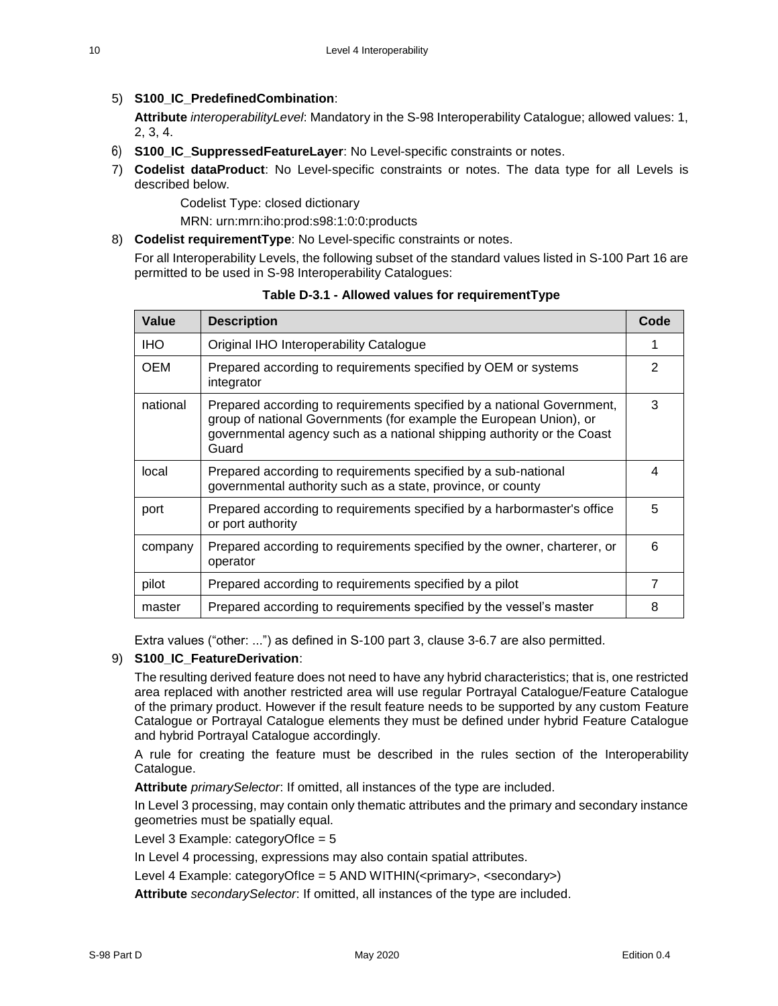### 5) **S100\_IC\_PredefinedCombination**:

**Attribute** *interoperabilityLevel*: Mandatory in the S-98 Interoperability Catalogue; allowed values: 1, 2, 3, 4.

- 6) **S100\_IC\_SuppressedFeatureLayer**: No Level-specific constraints or notes.
- 7) **Codelist dataProduct**: No Level-specific constraints or notes. The data type for all Levels is described below.

Codelist Type: closed dictionary MRN: urn:mrn:iho:prod:s98:1:0:0:products

8) **Codelist requirementType**: No Level-specific constraints or notes.

For all Interoperability Levels, the following subset of the standard values listed in S-100 Part 16 are permitted to be used in S-98 Interoperability Catalogues:

| Value      | <b>Description</b>                                                                                                                                                                                                              | Code |
|------------|---------------------------------------------------------------------------------------------------------------------------------------------------------------------------------------------------------------------------------|------|
| <b>IHO</b> | Original IHO Interoperability Catalogue                                                                                                                                                                                         |      |
| <b>OEM</b> | Prepared according to requirements specified by OEM or systems<br>integrator                                                                                                                                                    | 2    |
| national   | Prepared according to requirements specified by a national Government,<br>group of national Governments (for example the European Union), or<br>governmental agency such as a national shipping authority or the Coast<br>Guard | 3    |
| local      | Prepared according to requirements specified by a sub-national<br>governmental authority such as a state, province, or county                                                                                                   | 4    |
| port       | Prepared according to requirements specified by a harbormaster's office<br>or port authority                                                                                                                                    | 5    |
| company    | Prepared according to requirements specified by the owner, charterer, or<br>operator                                                                                                                                            | 6    |
| pilot      | Prepared according to requirements specified by a pilot                                                                                                                                                                         | 7    |
| master     | Prepared according to requirements specified by the vessel's master                                                                                                                                                             | 8    |

**Table D-3.1 - Allowed values for requirementType**

Extra values ("other: ...") as defined in S-100 part 3, clause 3-6.7 are also permitted.

#### 9) **S100\_IC\_FeatureDerivation**:

The resulting derived feature does not need to have any hybrid characteristics; that is, one restricted area replaced with another restricted area will use regular Portrayal Catalogue/Feature Catalogue of the primary product. However if the result feature needs to be supported by any custom Feature Catalogue or Portrayal Catalogue elements they must be defined under hybrid Feature Catalogue and hybrid Portrayal Catalogue accordingly.

A rule for creating the feature must be described in the rules section of the Interoperability Catalogue.

**Attribute** *primarySelector*: If omitted, all instances of the type are included.

In Level 3 processing, may contain only thematic attributes and the primary and secondary instance geometries must be spatially equal.

Level 3 Example: category Ofice  $= 5$ 

In Level 4 processing, expressions may also contain spatial attributes.

Level 4 Example: categoryOfIce = 5 AND WITHIN(<primary>, <secondary>)

**Attribute** *secondarySelector*: If omitted, all instances of the type are included.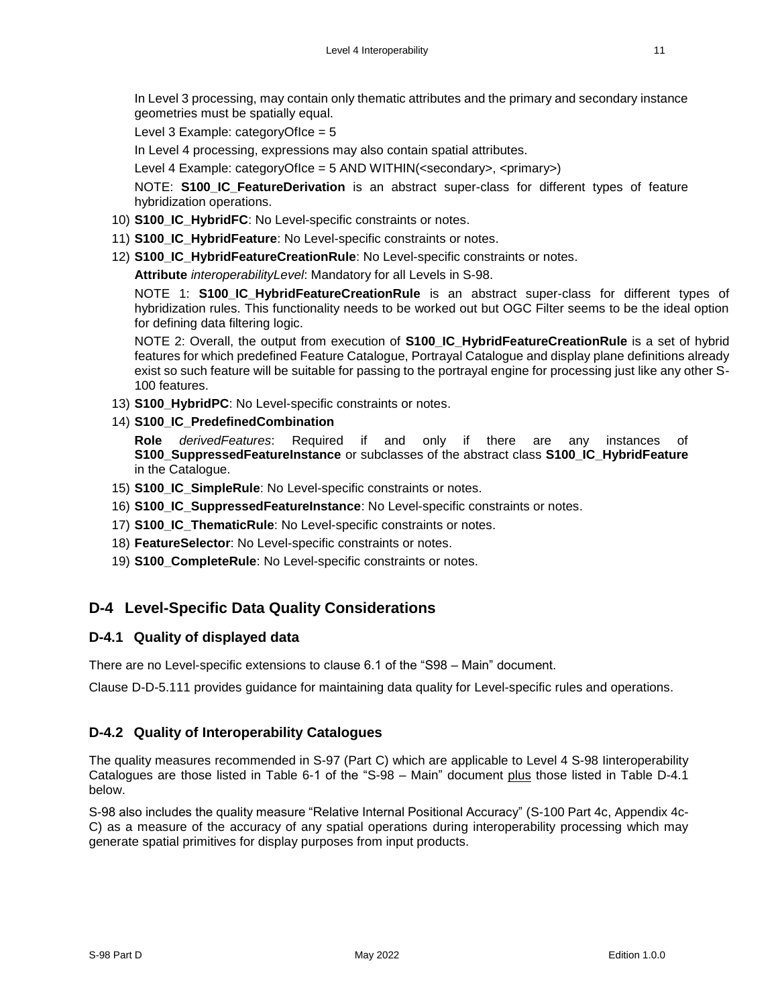In Level 3 processing, may contain only thematic attributes and the primary and secondary instance geometries must be spatially equal.

Level 3 Example:  $categoryOffice = 5$ 

In Level 4 processing, expressions may also contain spatial attributes.

Level 4 Example: categoryOfIce = 5 AND WITHIN(<secondary>, <primary>)

NOTE: **S100 IC FeatureDerivation** is an abstract super-class for different types of feature hybridization operations.

- 10) **S100\_IC\_HybridFC**: No Level-specific constraints or notes.
- 11) **S100 IC HybridFeature**: No Level-specific constraints or notes.
- 12) **S100\_IC\_HybridFeatureCreationRule**: No Level-specific constraints or notes.

**Attribute** *interoperabilityLevel*: Mandatory for all Levels in S-98.

NOTE 1: **S100 IC HybridFeatureCreationRule** is an abstract super-class for different types of hybridization rules. This functionality needs to be worked out but OGC Filter seems to be the ideal option for defining data filtering logic.

NOTE 2: Overall, the output from execution of **S100 IC HybridFeatureCreationRule** is a set of hybrid features for which predefined Feature Catalogue, Portrayal Catalogue and display plane definitions already exist so such feature will be suitable for passing to the portrayal engine for processing just like any other S-100 features.

13) **S100\_HybridPC**: No Level-specific constraints or notes.

### 14) **S100\_IC\_PredefinedCombination**

**Role** *derivedFeatures*: Required if and only if there are any instances of **S100\_SuppressedFeatureInstance** or subclasses of the abstract class **S100\_IC\_HybridFeature** in the Catalogue.

- 15) **S100 IC SimpleRule**: No Level-specific constraints or notes.
- 16) **S100\_IC\_SuppressedFeatureInstance**: No Level-specific constraints or notes.
- 17) **S100\_IC\_ThematicRule**: No Level-specific constraints or notes.
- 18) **FeatureSelector**: No Level-specific constraints or notes.
- 19) **S100\_CompleteRule**: No Level-specific constraints or notes.

# <span id="page-16-0"></span>**D-4 Level-Specific Data Quality Considerations**

### <span id="page-16-1"></span>**D-4.1 Quality of displayed data**

There are no Level-specific extensions to clause 6.1 of the "S98 – Main" document.

Clause D-D-5.111 provides guidance for maintaining data quality for Level-specific rules and operations.

### <span id="page-16-2"></span>**D-4.2 Quality of Interoperability Catalogues**

The quality measures recommended in S-97 (Part C) which are applicable to Level 4 S-98 Iinteroperability Catalogues are those listed in Table 6-1 of the "S-98 – Main" document plus those listed in Table D-4.1 below.

S-98 also includes the quality measure "Relative Internal Positional Accuracy" (S-100 Part 4c, Appendix 4c-C) as a measure of the accuracy of any spatial operations during interoperability processing which may generate spatial primitives for display purposes from input products.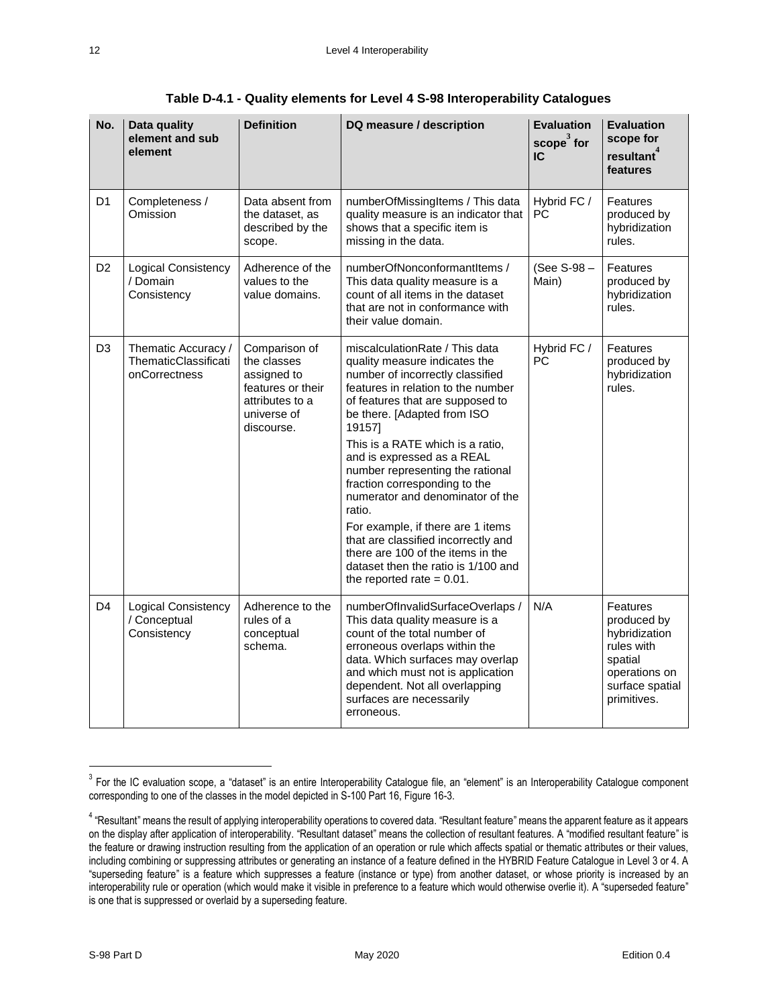**Table D-4.1 - Quality elements for Level 4 S-98 Interoperability Catalogues**

| No.            | Data quality<br>element and sub<br>element                   | <b>Definition</b>                                                                                                | DQ measure / description                                                                                                                                                                                                                                                                                                                                                                                                                                                                                                                                                                            | <b>Evaluation</b><br>$score3$ for<br>IC | <b>Evaluation</b><br>scope for<br>resultant <sup>4</sup><br>features                                                 |
|----------------|--------------------------------------------------------------|------------------------------------------------------------------------------------------------------------------|-----------------------------------------------------------------------------------------------------------------------------------------------------------------------------------------------------------------------------------------------------------------------------------------------------------------------------------------------------------------------------------------------------------------------------------------------------------------------------------------------------------------------------------------------------------------------------------------------------|-----------------------------------------|----------------------------------------------------------------------------------------------------------------------|
| D <sub>1</sub> | Completeness /<br>Omission                                   | Data absent from<br>the dataset, as<br>described by the<br>scope.                                                | numberOfMissingItems / This data<br>quality measure is an indicator that<br>shows that a specific item is<br>missing in the data.                                                                                                                                                                                                                                                                                                                                                                                                                                                                   | Hybrid FC /<br>PC.                      | Features<br>produced by<br>hybridization<br>rules.                                                                   |
| D <sub>2</sub> | <b>Logical Consistency</b><br>/ Domain<br>Consistency        | Adherence of the<br>values to the<br>value domains.                                                              | numberOfNonconformantItems /<br>This data quality measure is a<br>count of all items in the dataset<br>that are not in conformance with<br>their value domain.                                                                                                                                                                                                                                                                                                                                                                                                                                      | (See S-98 -<br>Main)                    | Features<br>produced by<br>hybridization<br>rules.                                                                   |
| D <sub>3</sub> | Thematic Accuracy /<br>ThematicClassificati<br>onCorrectness | Comparison of<br>the classes<br>assigned to<br>features or their<br>attributes to a<br>universe of<br>discourse. | miscalculationRate / This data<br>quality measure indicates the<br>number of incorrectly classified<br>features in relation to the number<br>of features that are supposed to<br>be there. [Adapted from ISO<br>19157]<br>This is a RATE which is a ratio,<br>and is expressed as a REAL<br>number representing the rational<br>fraction corresponding to the<br>numerator and denominator of the<br>ratio.<br>For example, if there are 1 items<br>that are classified incorrectly and<br>there are 100 of the items in the<br>dataset then the ratio is 1/100 and<br>the reported rate $= 0.01$ . | Hybrid FC /<br>PC.                      | <b>Features</b><br>produced by<br>hybridization<br>rules.                                                            |
| D <sub>4</sub> | Logical Consistency<br>/ Conceptual<br>Consistency           | Adherence to the<br>rules of a<br>conceptual<br>schema.                                                          | numberOfInvalidSurfaceOverlaps /<br>This data quality measure is a<br>count of the total number of<br>erroneous overlaps within the<br>data. Which surfaces may overlap<br>and which must not is application<br>dependent. Not all overlapping<br>surfaces are necessarily<br>erroneous.                                                                                                                                                                                                                                                                                                            | N/A                                     | Features<br>produced by<br>hybridization<br>rules with<br>spatial<br>operations on<br>surface spatial<br>primitives. |

<sup>3</sup> For the IC evaluation scope, a "dataset" is an entire Interoperability Catalogue file, an "element" is an Interoperability Catalogue component corresponding to one of the classes in the model depicted in S-100 Part 16, Figure 16-3.

l

 $^4$  "Resultant" means the result of applying interoperability operations to covered data. "Resultant feature" means the apparent feature as it appears on the display after application of interoperability. "Resultant dataset" means the collection of resultant features. A "modified resultant feature" is the feature or drawing instruction resulting from the application of an operation or rule which affects spatial or thematic attributes or their values, including combining or suppressing attributes or generating an instance of a feature defined in the HYBRID Feature Catalogue in Level 3 or 4. A "superseding feature" is a feature which suppresses a feature (instance or type) from another dataset, or whose priority is increased by an interoperability rule or operation (which would make it visible in preference to a feature which would otherwise overlie it). A "superseded feature" is one that is suppressed or overlaid by a superseding feature.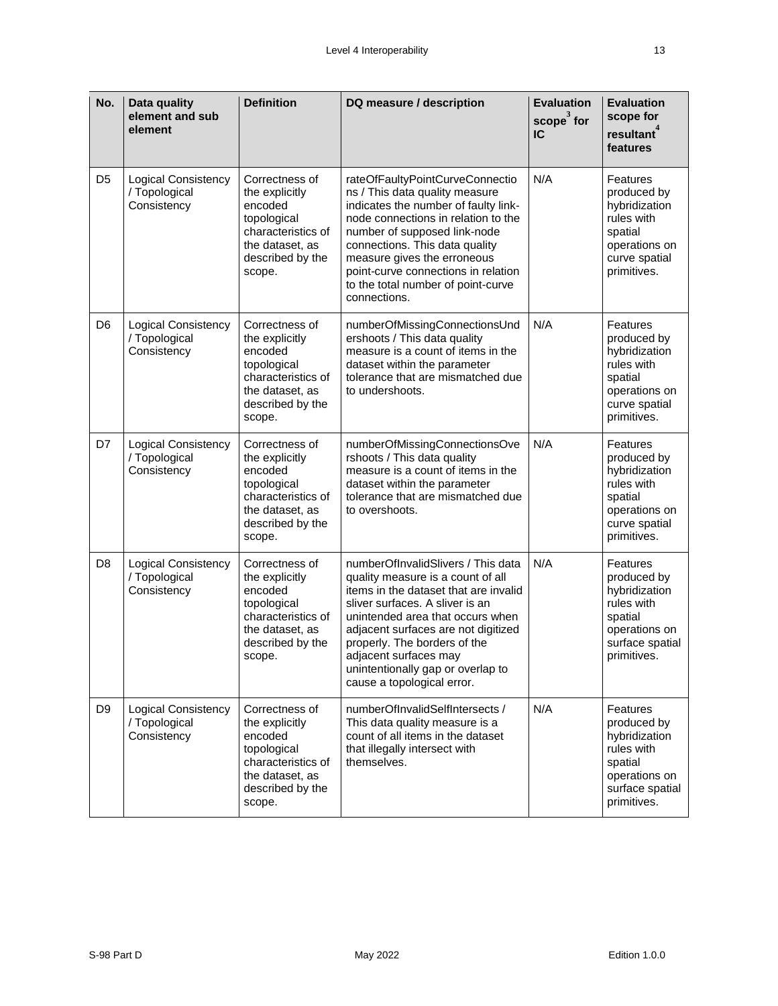| No.            | Data quality<br>element and sub<br>element                 | <b>Definition</b>                                                                                                                 | DQ measure / description                                                                                                                                                                                                                                                                                                                                   | <b>Evaluation</b><br>$score3$ for<br>IC | <b>Evaluation</b><br>scope for<br>resultant <sup>4</sup><br>features                                                        |
|----------------|------------------------------------------------------------|-----------------------------------------------------------------------------------------------------------------------------------|------------------------------------------------------------------------------------------------------------------------------------------------------------------------------------------------------------------------------------------------------------------------------------------------------------------------------------------------------------|-----------------------------------------|-----------------------------------------------------------------------------------------------------------------------------|
| D <sub>5</sub> | <b>Logical Consistency</b><br>/ Topological<br>Consistency | Correctness of<br>the explicitly<br>encoded<br>topological<br>characteristics of<br>the dataset, as<br>described by the<br>scope. | rateOfFaultyPointCurveConnectio<br>ns / This data quality measure<br>indicates the number of faulty link-<br>node connections in relation to the<br>number of supposed link-node<br>connections. This data quality<br>measure gives the erroneous<br>point-curve connections in relation<br>to the total number of point-curve<br>connections.             | N/A                                     | Features<br>produced by<br>hybridization<br>rules with<br>spatial<br>operations on<br>curve spatial<br>primitives.          |
| D6             | Logical Consistency<br>/ Topological<br>Consistency        | Correctness of<br>the explicitly<br>encoded<br>topological<br>characteristics of<br>the dataset, as<br>described by the<br>scope. | numberOfMissingConnectionsUnd<br>ershoots / This data quality<br>measure is a count of items in the<br>dataset within the parameter<br>tolerance that are mismatched due<br>to undershoots.                                                                                                                                                                | N/A                                     | Features<br>produced by<br>hybridization<br>rules with<br>spatial<br>operations on<br>curve spatial<br>primitives.          |
| D7             | Logical Consistency<br>/ Topological<br>Consistency        | Correctness of<br>the explicitly<br>encoded<br>topological<br>characteristics of<br>the dataset, as<br>described by the<br>scope. | numberOfMissingConnectionsOve<br>rshoots / This data quality<br>measure is a count of items in the<br>dataset within the parameter<br>tolerance that are mismatched due<br>to overshoots.                                                                                                                                                                  | N/A                                     | Features<br>produced by<br>hybridization<br>rules with<br>spatial<br>operations on<br>curve spatial<br>primitives.          |
| D <sub>8</sub> | <b>Logical Consistency</b><br>/ Topological<br>Consistency | Correctness of<br>the explicitly<br>encoded<br>topological<br>characteristics of<br>the dataset, as<br>described by the<br>scope. | numberOfInvalidSlivers / This data<br>quality measure is a count of all<br>items in the dataset that are invalid<br>sliver surfaces. A sliver is an<br>unintended area that occurs when<br>adjacent surfaces are not digitized<br>properly. The borders of the<br>adjacent surfaces may<br>unintentionally gap or overlap to<br>cause a topological error. | N/A                                     | Features<br>produced by<br>hybridization<br>rules with<br>spatial<br>operations on<br>surface spatial<br>primitives.        |
| D <sub>9</sub> | <b>Logical Consistency</b><br>/ Topological<br>Consistency | Correctness of<br>the explicitly<br>encoded<br>topological<br>characteristics of<br>the dataset, as<br>described by the<br>scope. | numberOfInvalidSelfIntersects /<br>This data quality measure is a<br>count of all items in the dataset<br>that illegally intersect with<br>themselves.                                                                                                                                                                                                     | N/A                                     | <b>Features</b><br>produced by<br>hybridization<br>rules with<br>spatial<br>operations on<br>surface spatial<br>primitives. |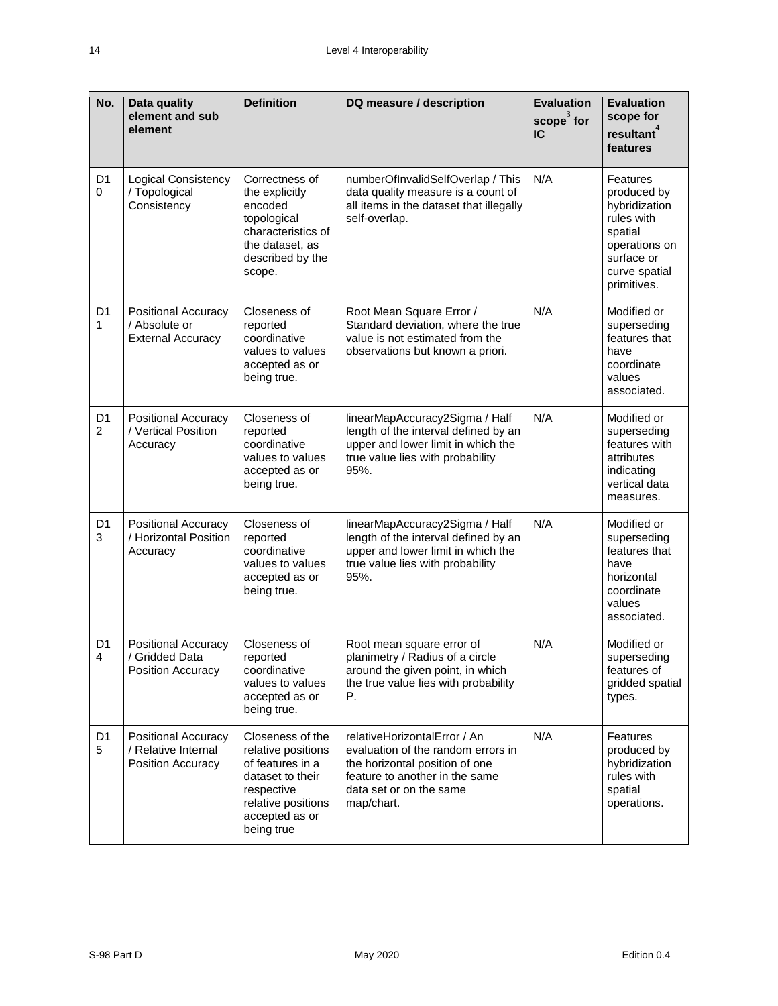| No.                              | Data quality<br>element and sub<br>element                       | <b>Definition</b>                                                                                                                                  | DQ measure / description                                                                                                                                                        | <b>Evaluation</b><br>$score3$ for<br>IC | <b>Evaluation</b><br>scope for<br><b>resultant</b><br>features                                                                   |
|----------------------------------|------------------------------------------------------------------|----------------------------------------------------------------------------------------------------------------------------------------------------|---------------------------------------------------------------------------------------------------------------------------------------------------------------------------------|-----------------------------------------|----------------------------------------------------------------------------------------------------------------------------------|
| D <sub>1</sub><br>$\mathbf 0$    | <b>Logical Consistency</b><br>/ Topological<br>Consistency       | Correctness of<br>the explicitly<br>encoded<br>topological<br>characteristics of<br>the dataset, as<br>described by the<br>scope.                  | numberOfInvalidSelfOverlap / This<br>data quality measure is a count of<br>all items in the dataset that illegally<br>self-overlap.                                             | N/A                                     | Features<br>produced by<br>hybridization<br>rules with<br>spatial<br>operations on<br>surface or<br>curve spatial<br>primitives. |
| D <sub>1</sub><br>1              | Positional Accuracy<br>/ Absolute or<br><b>External Accuracy</b> | Closeness of<br>reported<br>coordinative<br>values to values<br>accepted as or<br>being true.                                                      | Root Mean Square Error /<br>Standard deviation, where the true<br>value is not estimated from the<br>observations but known a priori.                                           | N/A                                     | Modified or<br>superseding<br>features that<br>have<br>coordinate<br>values<br>associated.                                       |
| D <sub>1</sub><br>$\overline{c}$ | <b>Positional Accuracy</b><br>/ Vertical Position<br>Accuracy    | Closeness of<br>reported<br>coordinative<br>values to values<br>accepted as or<br>being true.                                                      | linearMapAccuracy2Sigma / Half<br>length of the interval defined by an<br>upper and lower limit in which the<br>true value lies with probability<br>95%.                        | N/A                                     | Modified or<br>superseding<br>features with<br>attributes<br>indicating<br>vertical data<br>measures.                            |
| D <sub>1</sub><br>3              | Positional Accuracy<br>/ Horizontal Position<br>Accuracy         | Closeness of<br>reported<br>coordinative<br>values to values<br>accepted as or<br>being true.                                                      | linearMapAccuracy2Sigma / Half<br>length of the interval defined by an<br>upper and lower limit in which the<br>true value lies with probability<br>95%.                        | N/A                                     | Modified or<br>superseding<br>features that<br>have<br>horizontal<br>coordinate<br>values<br>associated.                         |
| D1<br>4                          | Positional Accuracy<br>/ Gridded Data<br>Position Accuracy       | Closeness of<br>reported<br>coordinative<br>values to values<br>accepted as or<br>being true.                                                      | Root mean square error of<br>planimetry / Radius of a circle<br>around the given point, in which<br>the true value lies with probability<br>Р.                                  | N/A                                     | Modified or<br>superseding<br>features of<br>gridded spatial<br>types.                                                           |
| D1<br>5                          | Positional Accuracy<br>/ Relative Internal<br>Position Accuracy  | Closeness of the<br>relative positions<br>of features in a<br>dataset to their<br>respective<br>relative positions<br>accepted as or<br>being true | relativeHorizontalError / An<br>evaluation of the random errors in<br>the horizontal position of one<br>feature to another in the same<br>data set or on the same<br>map/chart. | N/A                                     | Features<br>produced by<br>hybridization<br>rules with<br>spatial<br>operations.                                                 |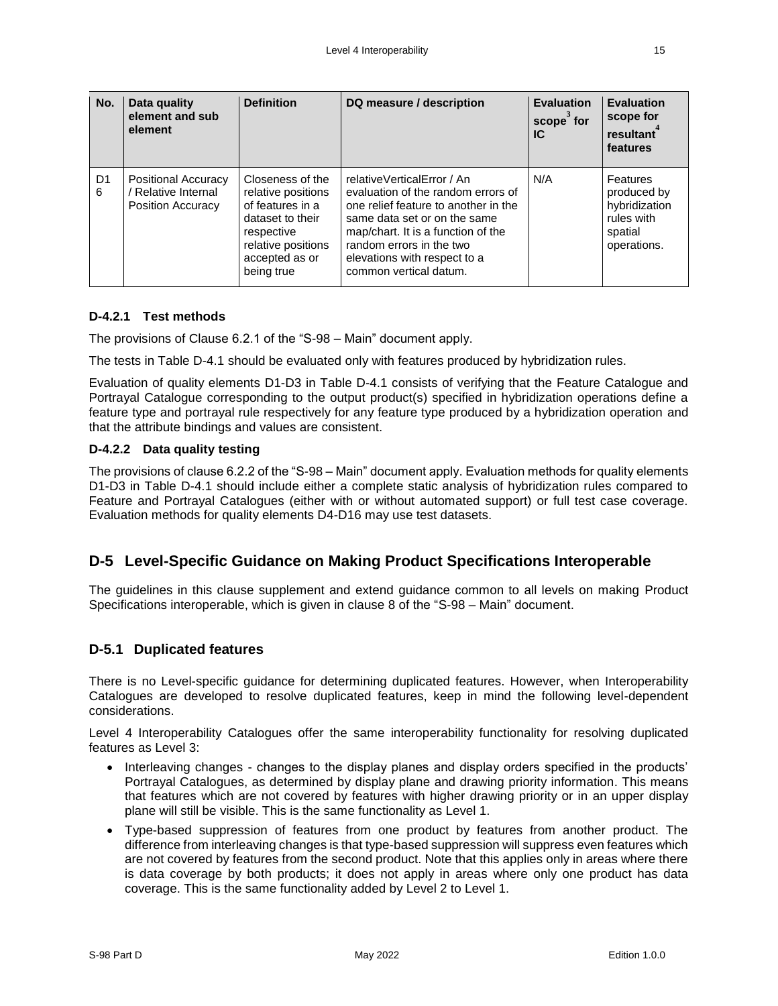| No.                 | <b>Definition</b><br>Data quality<br>element and sub<br>element      |                                                                                                                                                    | DQ measure / description                                                                                                                                                                                                                                             | <b>Evaluation</b><br>$score3$ for<br><b>IC</b> | <b>Evaluation</b><br>scope for<br>resultant<br>features                          |
|---------------------|----------------------------------------------------------------------|----------------------------------------------------------------------------------------------------------------------------------------------------|----------------------------------------------------------------------------------------------------------------------------------------------------------------------------------------------------------------------------------------------------------------------|------------------------------------------------|----------------------------------------------------------------------------------|
| D <sub>1</sub><br>6 | Positional Accuracy<br><b>Relative Internal</b><br>Position Accuracy | Closeness of the<br>relative positions<br>of features in a<br>dataset to their<br>respective<br>relative positions<br>accepted as or<br>being true | relativeVerticalError / An<br>evaluation of the random errors of<br>one relief feature to another in the<br>same data set or on the same<br>map/chart. It is a function of the<br>random errors in the two<br>elevations with respect to a<br>common vertical datum. | N/A                                            | Features<br>produced by<br>hybridization<br>rules with<br>spatial<br>operations. |

### <span id="page-20-0"></span>**D-4.2.1 Test methods**

The provisions of Clause 6.2.1 of the "S-98 – Main" document apply.

The tests in Table D-4.1 should be evaluated only with features produced by hybridization rules.

Evaluation of quality elements D1-D3 in Table D-4.1 consists of verifying that the Feature Catalogue and Portrayal Catalogue corresponding to the output product(s) specified in hybridization operations define a feature type and portrayal rule respectively for any feature type produced by a hybridization operation and that the attribute bindings and values are consistent.

### <span id="page-20-1"></span>**D-4.2.2 Data quality testing**

The provisions of clause 6.2.2 of the "S-98 – Main" document apply. Evaluation methods for quality elements D1-D3 in Table D-4.1 should include either a complete static analysis of hybridization rules compared to Feature and Portrayal Catalogues (either with or without automated support) or full test case coverage. Evaluation methods for quality elements D4-D16 may use test datasets.

### <span id="page-20-2"></span>**D-5 Level-Specific Guidance on Making Product Specifications Interoperable**

The guidelines in this clause supplement and extend guidance common to all levels on making Product Specifications interoperable, which is given in clause 8 of the "S-98 – Main" document.

### <span id="page-20-3"></span>**D-5.1 Duplicated features**

There is no Level-specific guidance for determining duplicated features. However, when Interoperability Catalogues are developed to resolve duplicated features, keep in mind the following level-dependent considerations.

Level 4 Interoperability Catalogues offer the same interoperability functionality for resolving duplicated features as Level 3:

- Interleaving changes changes to the display planes and display orders specified in the products' Portrayal Catalogues, as determined by display plane and drawing priority information. This means that features which are not covered by features with higher drawing priority or in an upper display plane will still be visible. This is the same functionality as Level 1.
- Type-based suppression of features from one product by features from another product. The difference from interleaving changes is that type-based suppression will suppress even features which are not covered by features from the second product. Note that this applies only in areas where there is data coverage by both products; it does not apply in areas where only one product has data coverage. This is the same functionality added by Level 2 to Level 1.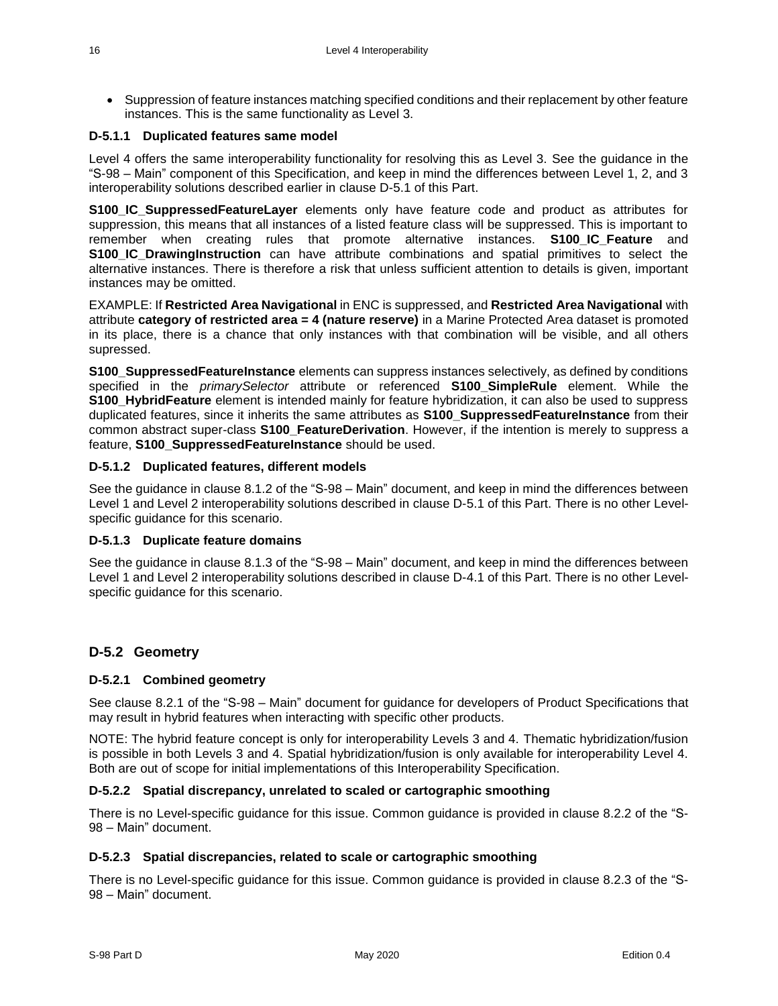• Suppression of feature instances matching specified conditions and their replacement by other feature instances. This is the same functionality as Level 3.

### <span id="page-21-0"></span>**D-5.1.1 Duplicated features same model**

Level 4 offers the same interoperability functionality for resolving this as Level 3. See the guidance in the "S-98 – Main" component of this Specification, and keep in mind the differences between Level 1, 2, and 3 interoperability solutions described earlier in clause D-5.1 of this Part.

**S100\_IC\_SuppressedFeatureLayer** elements only have feature code and product as attributes for suppression, this means that all instances of a listed feature class will be suppressed. This is important to remember when creating rules that promote alternative instances. **S100\_IC\_Feature** and **S100 IC DrawingInstruction** can have attribute combinations and spatial primitives to select the alternative instances. There is therefore a risk that unless sufficient attention to details is given, important instances may be omitted.

EXAMPLE: If **Restricted Area Navigational** in ENC is suppressed, and **Restricted Area Navigational** with attribute **category of restricted area = 4 (nature reserve)** in a Marine Protected Area dataset is promoted in its place, there is a chance that only instances with that combination will be visible, and all others supressed.

**S100 SuppressedFeatureInstance** elements can suppress instances selectively, as defined by conditions specified in the *primarySelector* attribute or referenced **S100\_SimpleRule** element. While the **S100 HybridFeature** element is intended mainly for feature hybridization, it can also be used to suppress duplicated features, since it inherits the same attributes as **S100\_SuppressedFeatureInstance** from their common abstract super-class **S100\_FeatureDerivation**. However, if the intention is merely to suppress a feature, **S100\_SuppressedFeatureInstance** should be used.

#### <span id="page-21-1"></span>**D-5.1.2 Duplicated features, different models**

See the guidance in clause 8.1.2 of the "S-98 – Main" document, and keep in mind the differences between Level 1 and Level 2 interoperability solutions described in clause D-5.1 of this Part. There is no other Levelspecific guidance for this scenario.

### <span id="page-21-2"></span>**D-5.1.3 Duplicate feature domains**

See the guidance in clause 8.1.3 of the "S-98 – Main" document, and keep in mind the differences between Level 1 and Level 2 interoperability solutions described in clause D-4.1 of this Part. There is no other Levelspecific guidance for this scenario.

### <span id="page-21-3"></span>**D-5.2 Geometry**

#### <span id="page-21-4"></span>**D-5.2.1 Combined geometry**

See clause 8.2.1 of the "S-98 – Main" document for guidance for developers of Product Specifications that may result in hybrid features when interacting with specific other products.

NOTE: The hybrid feature concept is only for interoperability Levels 3 and 4. Thematic hybridization/fusion is possible in both Levels 3 and 4. Spatial hybridization/fusion is only available for interoperability Level 4. Both are out of scope for initial implementations of this Interoperability Specification.

#### <span id="page-21-5"></span>**D-5.2.2 Spatial discrepancy, unrelated to scaled or cartographic smoothing**

There is no Level-specific guidance for this issue. Common guidance is provided in clause 8.2.2 of the "S-98 – Main" document.

#### <span id="page-21-6"></span>**D-5.2.3 Spatial discrepancies, related to scale or cartographic smoothing**

There is no Level-specific guidance for this issue. Common guidance is provided in clause 8.2.3 of the "S-98 – Main" document.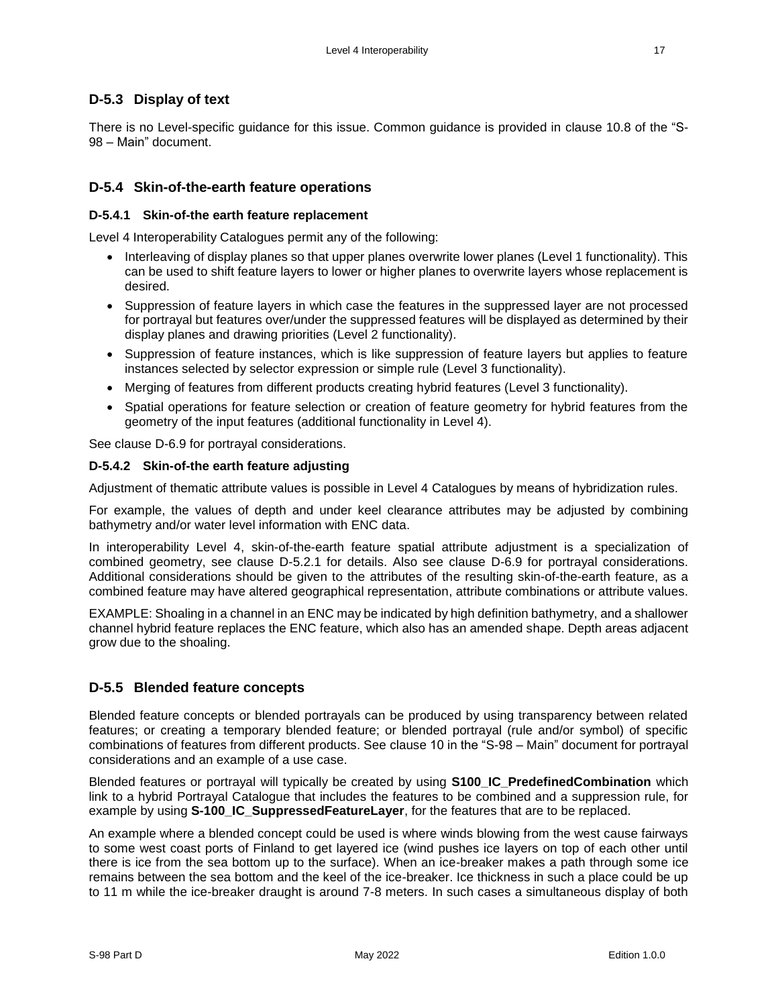### <span id="page-22-0"></span>**D-5.3 Display of text**

There is no Level-specific guidance for this issue. Common guidance is provided in clause 10.8 of the "S-98 – Main" document.

### <span id="page-22-1"></span>**D-5.4 Skin-of-the-earth feature operations**

### <span id="page-22-2"></span>**D-5.4.1 Skin-of-the earth feature replacement**

Level 4 Interoperability Catalogues permit any of the following:

- Interleaving of display planes so that upper planes overwrite lower planes (Level 1 functionality). This can be used to shift feature layers to lower or higher planes to overwrite layers whose replacement is desired.
- Suppression of feature layers in which case the features in the suppressed layer are not processed for portrayal but features over/under the suppressed features will be displayed as determined by their display planes and drawing priorities (Level 2 functionality).
- Suppression of feature instances, which is like suppression of feature layers but applies to feature instances selected by selector expression or simple rule (Level 3 functionality).
- Merging of features from different products creating hybrid features (Level 3 functionality).
- Spatial operations for feature selection or creation of feature geometry for hybrid features from the geometry of the input features (additional functionality in Level 4).

See clause D-6.9 for portrayal considerations.

### <span id="page-22-3"></span>**D-5.4.2 Skin-of-the earth feature adjusting**

Adjustment of thematic attribute values is possible in Level 4 Catalogues by means of hybridization rules.

For example, the values of depth and under keel clearance attributes may be adjusted by combining bathymetry and/or water level information with ENC data.

In interoperability Level 4, skin-of-the-earth feature spatial attribute adjustment is a specialization of combined geometry, see clause D-5.2.1 for details. Also see clause D-6.9 for portrayal considerations. Additional considerations should be given to the attributes of the resulting skin-of-the-earth feature, as a combined feature may have altered geographical representation, attribute combinations or attribute values.

EXAMPLE: Shoaling in a channel in an ENC may be indicated by high definition bathymetry, and a shallower channel hybrid feature replaces the ENC feature, which also has an amended shape. Depth areas adjacent grow due to the shoaling.

### <span id="page-22-4"></span>**D-5.5 Blended feature concepts**

Blended feature concepts or blended portrayals can be produced by using transparency between related features; or creating a temporary blended feature; or blended portrayal (rule and/or symbol) of specific combinations of features from different products. See clause 10 in the "S-98 – Main" document for portrayal considerations and an example of a use case.

Blended features or portrayal will typically be created by using **S100\_IC\_PredefinedCombination** which link to a hybrid Portrayal Catalogue that includes the features to be combined and a suppression rule, for example by using **S-100\_IC\_SuppressedFeatureLayer**, for the features that are to be replaced.

An example where a blended concept could be used is where winds blowing from the west cause fairways to some west coast ports of Finland to get layered ice (wind pushes ice layers on top of each other until there is ice from the sea bottom up to the surface). When an ice-breaker makes a path through some ice remains between the sea bottom and the keel of the ice-breaker. Ice thickness in such a place could be up to 11 m while the ice-breaker draught is around 7-8 meters. In such cases a simultaneous display of both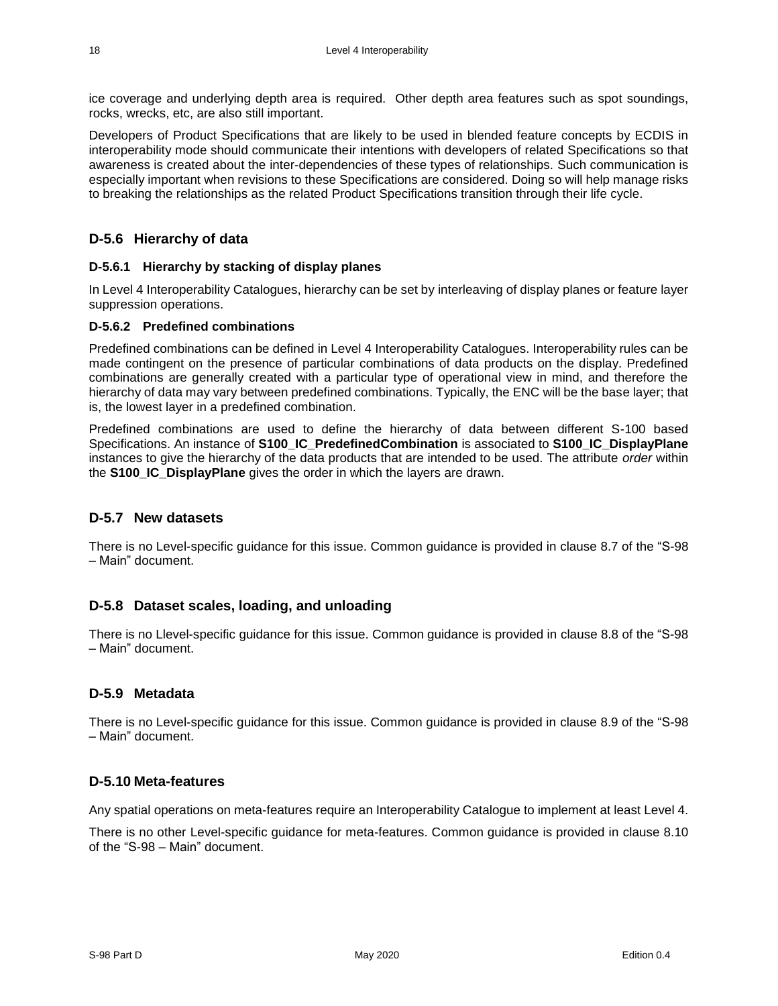ice coverage and underlying depth area is required. Other depth area features such as spot soundings, rocks, wrecks, etc, are also still important.

Developers of Product Specifications that are likely to be used in blended feature concepts by ECDIS in interoperability mode should communicate their intentions with developers of related Specifications so that awareness is created about the inter-dependencies of these types of relationships. Such communication is especially important when revisions to these Specifications are considered. Doing so will help manage risks to breaking the relationships as the related Product Specifications transition through their life cycle.

### <span id="page-23-0"></span>**D-5.6 Hierarchy of data**

### <span id="page-23-1"></span>**D-5.6.1 Hierarchy by stacking of display planes**

In Level 4 Interoperability Catalogues, hierarchy can be set by interleaving of display planes or feature layer suppression operations.

#### <span id="page-23-2"></span>**D-5.6.2 Predefined combinations**

Predefined combinations can be defined in Level 4 Interoperability Catalogues. Interoperability rules can be made contingent on the presence of particular combinations of data products on the display. Predefined combinations are generally created with a particular type of operational view in mind, and therefore the hierarchy of data may vary between predefined combinations. Typically, the ENC will be the base layer; that is, the lowest layer in a predefined combination.

Predefined combinations are used to define the hierarchy of data between different S-100 based Specifications. An instance of **S100\_IC\_PredefinedCombination** is associated to **S100\_IC\_DisplayPlane** instances to give the hierarchy of the data products that are intended to be used. The attribute *order* within the **S100\_IC\_DisplayPlane** gives the order in which the layers are drawn.

### <span id="page-23-3"></span>**D-5.7 New datasets**

There is no Level-specific guidance for this issue. Common guidance is provided in clause 8.7 of the "S-98 – Main" document.

### <span id="page-23-4"></span>**D-5.8 Dataset scales, loading, and unloading**

There is no Llevel-specific guidance for this issue. Common guidance is provided in clause 8.8 of the "S-98 – Main" document.

### <span id="page-23-5"></span>**D-5.9 Metadata**

There is no Level-specific guidance for this issue. Common guidance is provided in clause 8.9 of the "S-98 – Main" document.

### <span id="page-23-6"></span>**D-5.10 Meta-features**

Any spatial operations on meta-features require an Interoperability Catalogue to implement at least Level 4.

There is no other Level-specific guidance for meta-features. Common guidance is provided in clause 8.10 of the "S-98 – Main" document.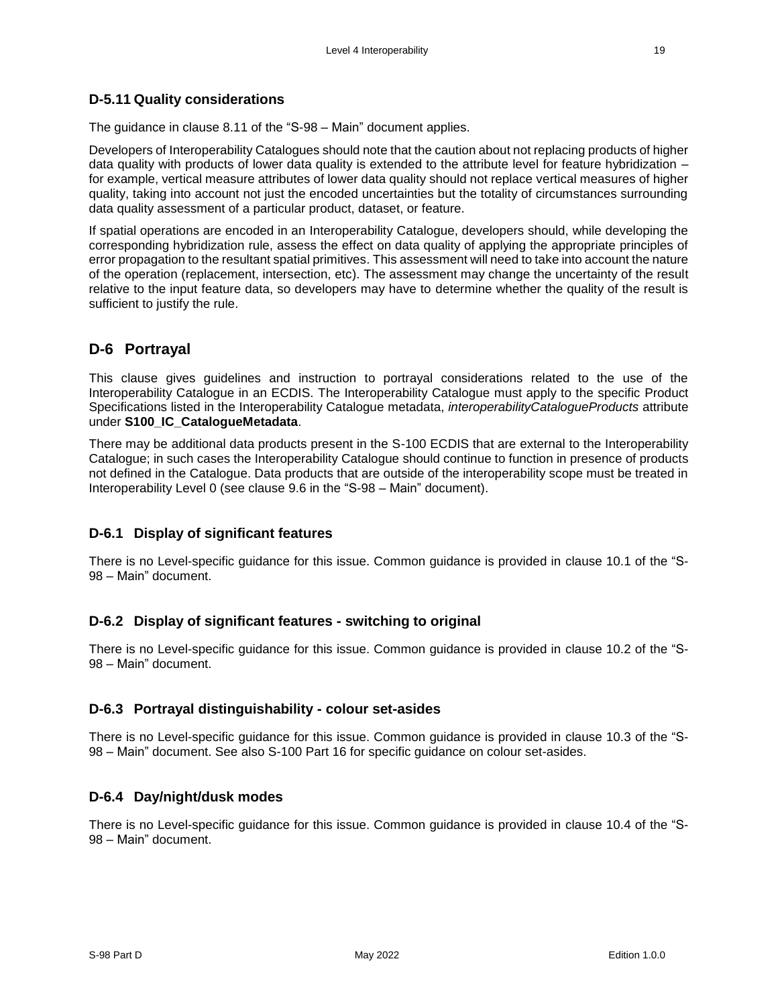<span id="page-24-0"></span>The guidance in clause 8.11 of the "S-98 – Main" document applies.

Developers of Interoperability Catalogues should note that the caution about not replacing products of higher data quality with products of lower data quality is extended to the attribute level for feature hybridization – for example, vertical measure attributes of lower data quality should not replace vertical measures of higher quality, taking into account not just the encoded uncertainties but the totality of circumstances surrounding data quality assessment of a particular product, dataset, or feature.

If spatial operations are encoded in an Interoperability Catalogue, developers should, while developing the corresponding hybridization rule, assess the effect on data quality of applying the appropriate principles of error propagation to the resultant spatial primitives. This assessment will need to take into account the nature of the operation (replacement, intersection, etc). The assessment may change the uncertainty of the result relative to the input feature data, so developers may have to determine whether the quality of the result is sufficient to justify the rule.

# <span id="page-24-1"></span>**D-6 Portrayal**

This clause gives guidelines and instruction to portrayal considerations related to the use of the Interoperability Catalogue in an ECDIS. The Interoperability Catalogue must apply to the specific Product Specifications listed in the Interoperability Catalogue metadata, *interoperabilityCatalogueProducts* attribute under **S100\_IC\_CatalogueMetadata**.

There may be additional data products present in the S-100 ECDIS that are external to the Interoperability Catalogue; in such cases the Interoperability Catalogue should continue to function in presence of products not defined in the Catalogue. Data products that are outside of the interoperability scope must be treated in Interoperability Level 0 (see clause 9.6 in the "S-98 – Main" document).

### <span id="page-24-2"></span>**D-6.1 Display of significant features**

There is no Level-specific guidance for this issue. Common guidance is provided in clause 10.1 of the "S-98 – Main" document.

### <span id="page-24-3"></span>**D-6.2 Display of significant features - switching to original**

There is no Level-specific guidance for this issue. Common guidance is provided in clause 10.2 of the "S-98 – Main" document.

### <span id="page-24-4"></span>**D-6.3 Portrayal distinguishability - colour set-asides**

There is no Level-specific guidance for this issue. Common guidance is provided in clause 10.3 of the "S-98 – Main" document. See also S-100 Part 16 for specific guidance on colour set-asides.

### <span id="page-24-5"></span>**D-6.4 Day/night/dusk modes**

There is no Level-specific guidance for this issue. Common guidance is provided in clause 10.4 of the "S-98 – Main" document.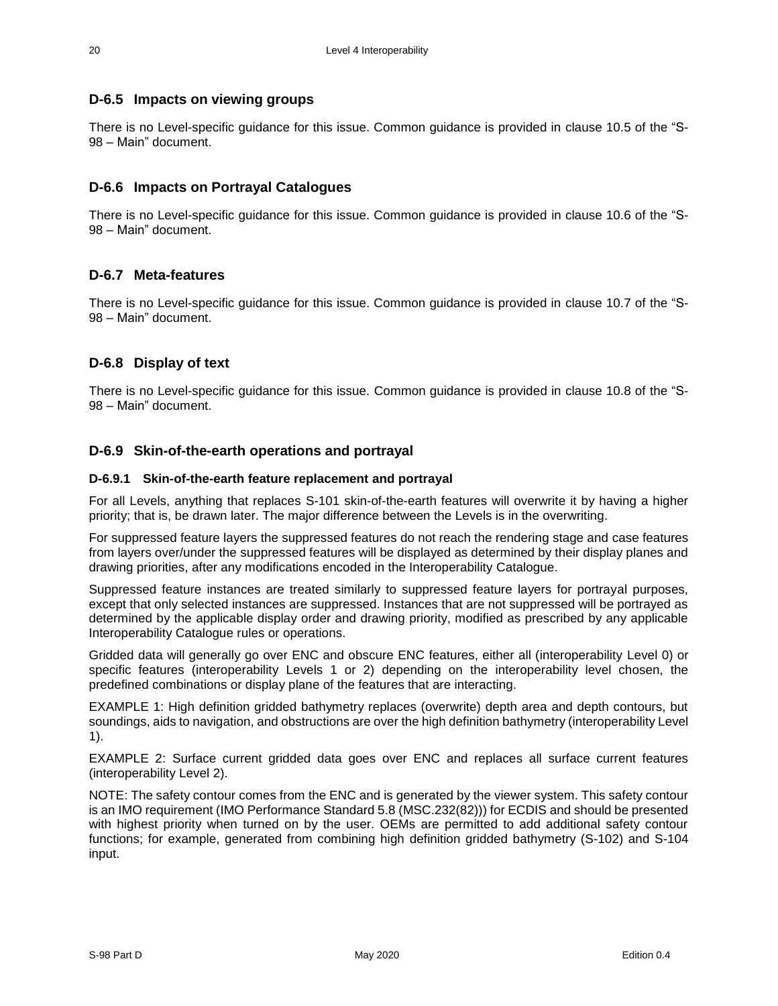### <span id="page-25-0"></span>**D-6.5 Impacts on viewing groups**

There is no Level-specific guidance for this issue. Common guidance is provided in clause 10.5 of the "S-98 – Main" document.

### <span id="page-25-1"></span>**D-6.6 Impacts on Portrayal Catalogues**

There is no Level-specific guidance for this issue. Common guidance is provided in clause 10.6 of the "S-98 – Main" document.

### <span id="page-25-2"></span>**D-6.7 Meta-features**

There is no Level-specific guidance for this issue. Common guidance is provided in clause 10.7 of the "S-98 – Main" document.

### <span id="page-25-3"></span>**D-6.8 Display of text**

There is no Level-specific guidance for this issue. Common guidance is provided in clause 10.8 of the "S-98 – Main" document.

### <span id="page-25-4"></span>**D-6.9 Skin-of-the-earth operations and portrayal**

#### <span id="page-25-5"></span>**D-6.9.1 Skin-of-the-earth feature replacement and portrayal**

For all Levels, anything that replaces S-101 skin-of-the-earth features will overwrite it by having a higher priority; that is, be drawn later. The major difference between the Levels is in the overwriting.

For suppressed feature layers the suppressed features do not reach the rendering stage and case features from layers over/under the suppressed features will be displayed as determined by their display planes and drawing priorities, after any modifications encoded in the Interoperability Catalogue.

Suppressed feature instances are treated similarly to suppressed feature layers for portrayal purposes, except that only selected instances are suppressed. Instances that are not suppressed will be portrayed as determined by the applicable display order and drawing priority, modified as prescribed by any applicable Interoperability Catalogue rules or operations.

Gridded data will generally go over ENC and obscure ENC features, either all (interoperability Level 0) or specific features (interoperability Levels 1 or 2) depending on the interoperability level chosen, the predefined combinations or display plane of the features that are interacting.

EXAMPLE 1: High definition gridded bathymetry replaces (overwrite) depth area and depth contours, but soundings, aids to navigation, and obstructions are over the high definition bathymetry (interoperability Level 1).

EXAMPLE 2: Surface current gridded data goes over ENC and replaces all surface current features (interoperability Level 2).

NOTE: The safety contour comes from the ENC and is generated by the viewer system. This safety contour is an IMO requirement (IMO Performance Standard 5.8 (MSC.232(82))) for ECDIS and should be presented with highest priority when turned on by the user. OEMs are permitted to add additional safety contour functions; for example, generated from combining high definition gridded bathymetry (S-102) and S-104 input.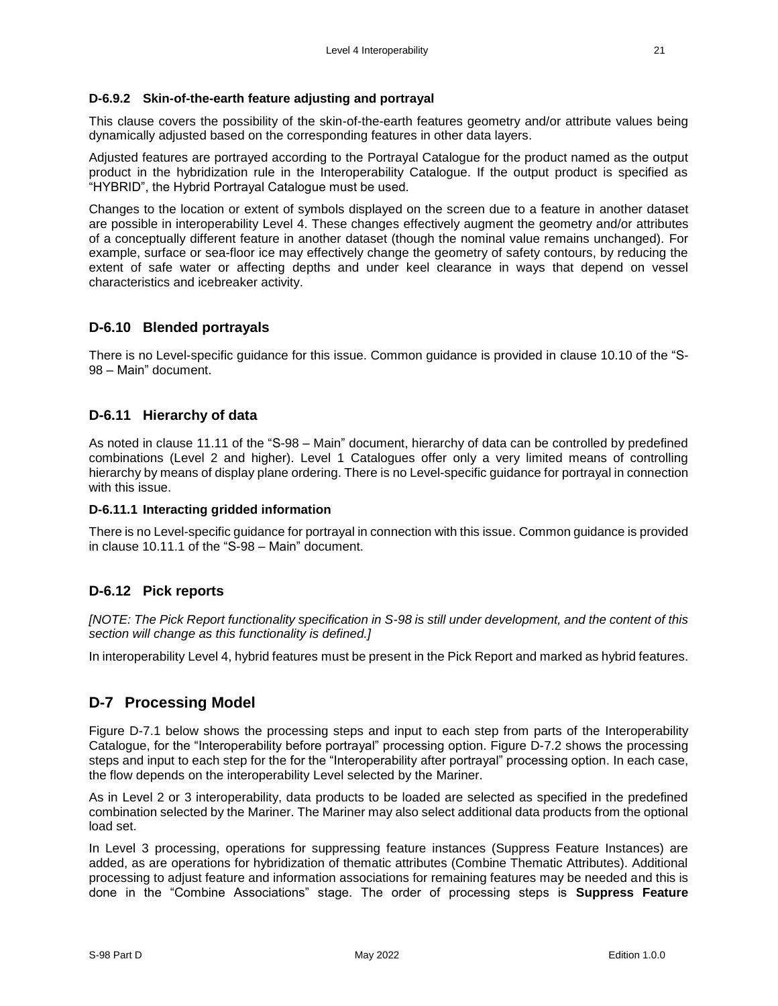### <span id="page-26-0"></span>**D-6.9.2 Skin-of-the-earth feature adjusting and portrayal**

This clause covers the possibility of the skin-of-the-earth features geometry and/or attribute values being dynamically adjusted based on the corresponding features in other data layers.

Adjusted features are portrayed according to the Portrayal Catalogue for the product named as the output product in the hybridization rule in the Interoperability Catalogue. If the output product is specified as "HYBRID", the Hybrid Portrayal Catalogue must be used.

Changes to the location or extent of symbols displayed on the screen due to a feature in another dataset are possible in interoperability Level 4. These changes effectively augment the geometry and/or attributes of a conceptually different feature in another dataset (though the nominal value remains unchanged). For example, surface or sea-floor ice may effectively change the geometry of safety contours, by reducing the extent of safe water or affecting depths and under keel clearance in ways that depend on vessel characteristics and icebreaker activity.

### <span id="page-26-1"></span>**D-6.10 Blended portrayals**

There is no Level-specific guidance for this issue. Common guidance is provided in clause 10.10 of the "S-98 – Main" document.

### <span id="page-26-2"></span>**D-6.11 Hierarchy of data**

As noted in clause 11.11 of the "S-98 – Main" document, hierarchy of data can be controlled by predefined combinations (Level 2 and higher). Level 1 Catalogues offer only a very limited means of controlling hierarchy by means of display plane ordering. There is no Level-specific guidance for portrayal in connection with this issue.

#### <span id="page-26-3"></span>**D-6.11.1 Interacting gridded information**

There is no Level-specific guidance for portrayal in connection with this issue. Common guidance is provided in clause 10.11.1 of the "S-98 – Main" document.

### <span id="page-26-4"></span>**D-6.12 Pick reports**

*[NOTE: The Pick Report functionality specification in S-98 is still under development, and the content of this section will change as this functionality is defined.]*

In interoperability Level 4, hybrid features must be present in the Pick Report and marked as hybrid features.

### <span id="page-26-5"></span>**D-7 Processing Model**

Figure D-7.1 below shows the processing steps and input to each step from parts of the Interoperability Catalogue, for the "Interoperability before portrayal" processing option. Figure D-7.2 shows the processing steps and input to each step for the for the "Interoperability after portrayal" processing option. In each case, the flow depends on the interoperability Level selected by the Mariner.

As in Level 2 or 3 interoperability, data products to be loaded are selected as specified in the predefined combination selected by the Mariner. The Mariner may also select additional data products from the optional load set.

In Level 3 processing, operations for suppressing feature instances (Suppress Feature Instances) are added, as are operations for hybridization of thematic attributes (Combine Thematic Attributes). Additional processing to adjust feature and information associations for remaining features may be needed and this is done in the "Combine Associations" stage. The order of processing steps is **Suppress Feature**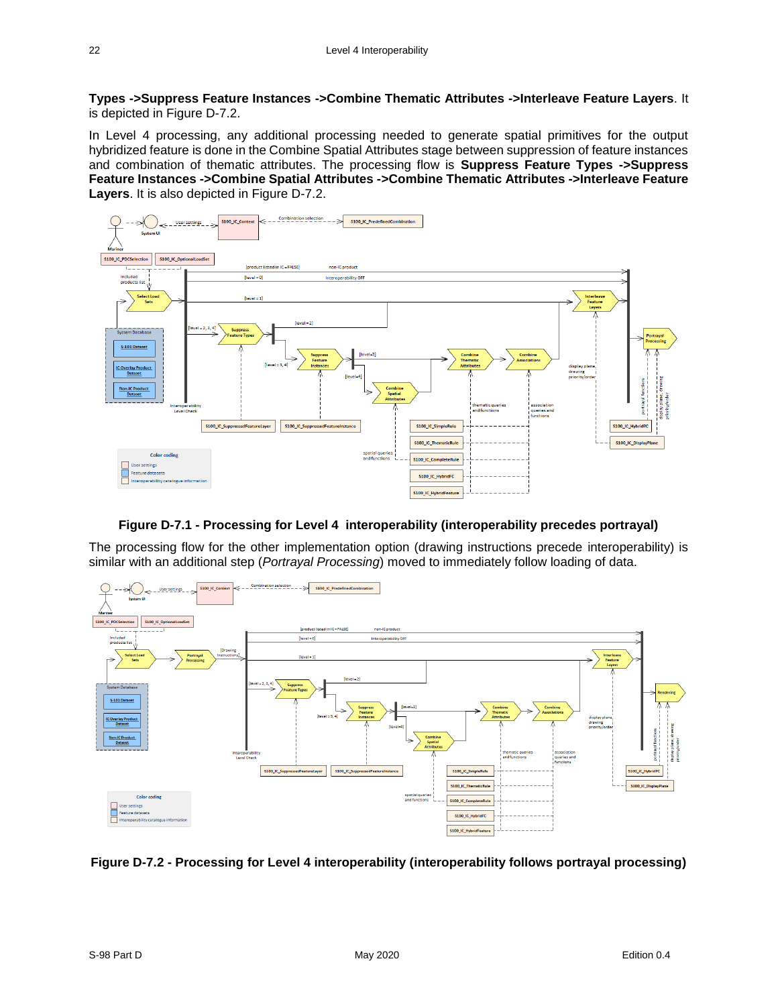**Types ->Suppress Feature Instances ->Combine Thematic Attributes ->Interleave Feature Layers**. It is depicted in Figure D-7.2.

In Level 4 processing, any additional processing needed to generate spatial primitives for the output hybridized feature is done in the Combine Spatial Attributes stage between suppression of feature instances and combination of thematic attributes. The processing flow is **Suppress Feature Types ->Suppress Feature Instances ->Combine Spatial Attributes ->Combine Thematic Attributes ->Interleave Feature Layers**. It is also depicted in Figure D-7.2.



**Figure D-7.1 - Processing for Level 4 interoperability (interoperability precedes portrayal)**

The processing flow for the other implementation option (drawing instructions precede interoperability) is similar with an additional step (*Portrayal Processing*) moved to immediately follow loading of data.



### **Figure D-7.2 - Processing for Level 4 interoperability (interoperability follows portrayal processing)**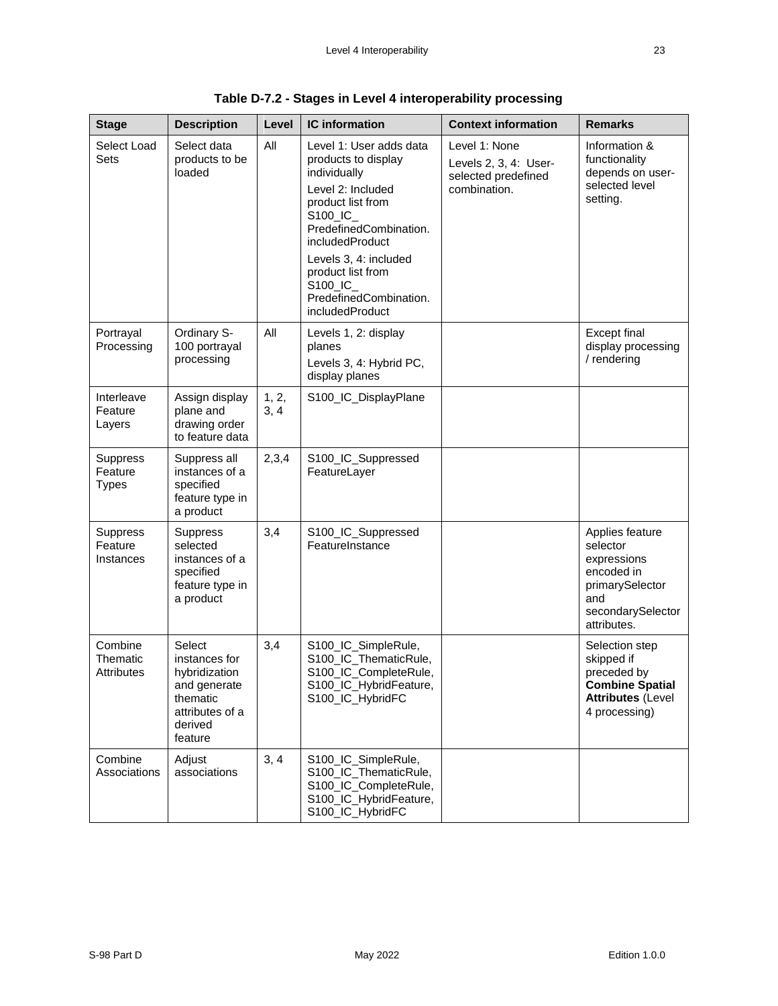| <b>Stage</b>                        | <b>Description</b>                                                                                            | Level         | <b>IC</b> information                                                                                                                                                                                                                                                    | <b>Context information</b>                                                    | <b>Remarks</b>                                                                                                         |
|-------------------------------------|---------------------------------------------------------------------------------------------------------------|---------------|--------------------------------------------------------------------------------------------------------------------------------------------------------------------------------------------------------------------------------------------------------------------------|-------------------------------------------------------------------------------|------------------------------------------------------------------------------------------------------------------------|
| Select Load<br><b>Sets</b>          | Select data<br>products to be<br>loaded                                                                       | All           | Level 1: User adds data<br>products to display<br>individually<br>Level 2: Included<br>product list from<br>S100_IC_<br>PredefinedCombination.<br>includedProduct<br>Levels 3, 4: included<br>product list from<br>S100_IC_<br>PredefinedCombination.<br>includedProduct | Level 1: None<br>Levels 2, 3, 4: User-<br>selected predefined<br>combination. | Information &<br>functionality<br>depends on user-<br>selected level<br>setting.                                       |
| Portrayal<br>Processing             | Ordinary S-<br>100 portrayal<br>processing                                                                    | All           | Levels 1, 2: display<br>planes<br>Levels 3, 4: Hybrid PC,<br>display planes                                                                                                                                                                                              |                                                                               | <b>Except final</b><br>display processing<br>/ rendering                                                               |
| Interleave<br>Feature<br>Layers     | Assign display<br>plane and<br>drawing order<br>to feature data                                               | 1, 2,<br>3, 4 | S100_IC_DisplayPlane                                                                                                                                                                                                                                                     |                                                                               |                                                                                                                        |
| Suppress<br>Feature<br><b>Types</b> | Suppress all<br>instances of a<br>specified<br>feature type in<br>a product                                   | 2,3,4         | S100_IC_Suppressed<br>FeatureLayer                                                                                                                                                                                                                                       |                                                                               |                                                                                                                        |
| Suppress<br>Feature<br>Instances    | <b>Suppress</b><br>selected<br>instances of a<br>specified<br>feature type in<br>a product                    | 3,4           | S100_IC_Suppressed<br>FeatureInstance                                                                                                                                                                                                                                    |                                                                               | Applies feature<br>selector<br>expressions<br>encoded in<br>primarySelector<br>and<br>secondarySelector<br>attributes. |
| Combine<br>Thematic<br>Attributes   | Select<br>instances for<br>hybridization<br>and generate<br>thematic<br>attributes of a<br>derived<br>feature | 3,4           | S100_IC_SimpleRule,<br>S100 IC_ThematicRule,<br>S100_IC_CompleteRule,<br>S100_IC_HybridFeature,<br>S100_IC_HybridFC                                                                                                                                                      |                                                                               | Selection step<br>skipped if<br>preceded by<br><b>Combine Spatial</b><br><b>Attributes (Level</b><br>4 processing)     |
| Combine<br>Associations             | Adjust<br>associations                                                                                        | 3, 4          | S100_IC_SimpleRule,<br>S100_IC_ThematicRule,<br>S100_IC_CompleteRule,<br>S100_IC_HybridFeature,<br>S100_IC_HybridFC                                                                                                                                                      |                                                                               |                                                                                                                        |

**Table D-7.2 - Stages in Level 4 interoperability processing**